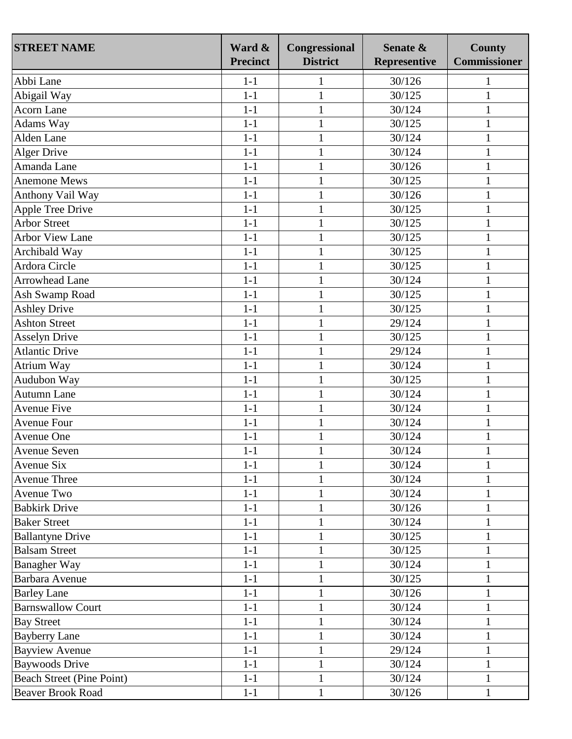| <b>STREET NAME</b>        | Ward &<br><b>Precinct</b> | Congressional<br><b>District</b> | Senate &<br>Representive | <b>County</b><br><b>Commissioner</b> |
|---------------------------|---------------------------|----------------------------------|--------------------------|--------------------------------------|
| Abbi Lane                 | $1-1$                     | 1                                | 30/126                   | 1                                    |
| Abigail Way               | $1-1$                     | $\mathbf{1}$                     | 30/125                   | $\mathbf{1}$                         |
| <b>Acorn Lane</b>         | $1-1$                     | $\mathbf{1}$                     | 30/124                   | 1                                    |
| Adams Way                 | $1-1$                     | $\mathbf{1}$                     | 30/125                   | 1                                    |
| Alden Lane                | $1-1$                     | $\mathbf{1}$                     | 30/124                   | 1                                    |
| <b>Alger Drive</b>        | $1-1$                     | $\mathbf{1}$                     | 30/124                   | $\mathbf{1}$                         |
| Amanda Lane               | $1-1$                     | $\mathbf{1}$                     | 30/126                   | $\mathbf{1}$                         |
| <b>Anemone Mews</b>       | $1-1$                     | $\mathbf{1}$                     | 30/125                   | 1                                    |
| Anthony Vail Way          | $1-1$                     | $\mathbf{1}$                     | 30/126                   | 1                                    |
| <b>Apple Tree Drive</b>   | $1-1$                     | $\mathbf{1}$                     | 30/125                   | 1                                    |
| <b>Arbor Street</b>       | $1-1$                     | $\mathbf{1}$                     | 30/125                   |                                      |
| <b>Arbor View Lane</b>    | $1-1$                     | $\mathbf{1}$                     | 30/125                   | 1                                    |
| Archibald Way             | $1-1$                     | $\mathbf{1}$                     | 30/125                   | 1                                    |
| Ardora Circle             | $1-1$                     | $\mathbf{1}$                     | 30/125                   | 1                                    |
| <b>Arrowhead Lane</b>     | $1-1$                     | $\mathbf{1}$                     | 30/124                   | 1                                    |
| Ash Swamp Road            | $1-1$                     | $\mathbf{1}$                     | 30/125                   | $\mathbf{1}$                         |
| <b>Ashley Drive</b>       | $1-1$                     | $\mathbf{1}$                     | 30/125                   | $\mathbf{1}$                         |
| <b>Ashton Street</b>      | $1-1$                     | $\mathbf{1}$                     | 29/124                   | $\mathbf{1}$                         |
| <b>Asselyn Drive</b>      | $1 - 1$                   | $\mathbf{1}$                     | 30/125                   | $\mathbf{1}$                         |
| <b>Atlantic Drive</b>     | $1-1$                     | $\mathbf{1}$                     | 29/124                   | 1                                    |
| Atrium Way                | $1-1$                     | $\mathbf{1}$                     | 30/124                   | 1                                    |
| Audubon Way               | $1-1$                     | $\mathbf{1}$                     | 30/125                   | 1                                    |
| Autumn Lane               | $1 - 1$                   | $\mathbf{1}$                     | 30/124                   |                                      |
| <b>Avenue Five</b>        | $1-1$                     | $\mathbf{1}$                     | 30/124                   | $\mathbf{1}$                         |
| <b>Avenue Four</b>        | $1-1$                     | $\mathbf{1}$                     | 30/124                   | 1                                    |
| Avenue One                | $1-1$                     | $\mathbf{1}$                     | 30/124                   | 1                                    |
| <b>Avenue Seven</b>       | $1 - 1$                   |                                  | 30/124                   |                                      |
| Avenue Six                | $1-1$                     | $\mathbf{1}$                     | 30/124                   | $\mathbf{1}$                         |
| <b>Avenue Three</b>       | $1 - 1$                   |                                  | 30/124                   | 1                                    |
| Avenue Two                | $1-1$                     | $\mathbf{1}$                     | 30/124                   | $\mathbf{1}$                         |
| <b>Babkirk Drive</b>      | $1-1$                     |                                  | 30/126                   | 1                                    |
| <b>Baker Street</b>       | $1-1$                     | $\mathbf{1}$                     | 30/124                   | $\mathbf{1}$                         |
| <b>Ballantyne Drive</b>   | $1-1$                     | $\mathbf{1}$                     | 30/125                   | 1                                    |
| <b>Balsam Street</b>      | $1 - 1$                   | $\mathbf{1}$                     | 30/125                   | 1                                    |
| <b>Banagher Way</b>       | $1-1$                     | 1                                | 30/124                   |                                      |
| Barbara Avenue            | $1-1$                     |                                  | 30/125                   |                                      |
| <b>Barley Lane</b>        | $1-1$                     | $\mathbf{1}$                     | 30/126                   | 1                                    |
| <b>Barnswallow Court</b>  | $1-1$                     |                                  | 30/124                   | 1                                    |
| <b>Bay Street</b>         | $1-1$                     | $\mathbf{1}$                     | 30/124                   | $\mathbf{1}$                         |
| <b>Bayberry Lane</b>      | $1 - 1$                   | 1                                | 30/124                   | 1                                    |
| <b>Bayview Avenue</b>     | $1 - 1$                   | $\mathbf{1}$                     | 29/124                   | $\mathbf{1}$                         |
| <b>Baywoods Drive</b>     | $1-1$                     |                                  | 30/124                   | 1                                    |
| Beach Street (Pine Point) | $1-1$                     | $\mathbf{1}$                     | 30/124                   | $\mathbf{1}$                         |
| <b>Beaver Brook Road</b>  | $1 - 1$                   | $\mathbf{1}$                     | 30/126                   | 1                                    |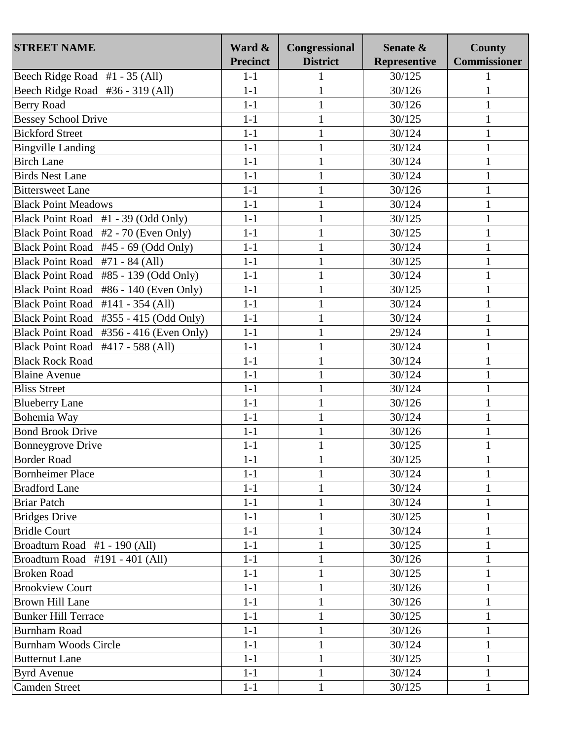| <b>STREET NAME</b>                            | Ward &<br><b>Precinct</b> | Congressional<br><b>District</b> | Senate &<br>Representive | <b>County</b><br><b>Commissioner</b> |
|-----------------------------------------------|---------------------------|----------------------------------|--------------------------|--------------------------------------|
| Beech Ridge Road #1 - 35 (All)                | $1-1$                     | $\mathbf{1}$                     | 30/125                   | 1                                    |
| Beech Ridge Road #36 - 319 (All)              | $1-1$                     | $\mathbf{1}$                     | 30/126                   | $\mathbf{1}$                         |
| <b>Berry Road</b>                             | $1-1$                     | $\mathbf{1}$                     | 30/126                   | 1                                    |
| <b>Bessey School Drive</b>                    | $1-1$                     | $\mathbf{1}$                     | 30/125                   | 1                                    |
| <b>Bickford Street</b>                        | $1-1$                     |                                  | 30/124                   |                                      |
|                                               | $1-1$                     | $\mathbf{1}$<br>$\mathbf{1}$     | 30/124                   | 1                                    |
| <b>Bingville Landing</b><br><b>Birch Lane</b> | $1-1$                     |                                  |                          |                                      |
|                                               |                           | $\mathbf{1}$                     | 30/124                   | 1                                    |
| <b>Birds Nest Lane</b>                        | $1-1$                     | $\mathbf{1}$                     | 30/124                   | 1                                    |
| <b>Bittersweet Lane</b>                       | $1-1$                     | $\mathbf{1}$                     | 30/126                   | $\mathbf{1}$                         |
| <b>Black Point Meadows</b>                    | $1-1$                     | $\mathbf{1}$                     | 30/124                   | 1                                    |
| Black Point Road #1 - 39 (Odd Only)           | $1-1$                     | $\mathbf{1}$                     | 30/125                   | $\mathbf{1}$                         |
| Black Point Road #2 - 70 (Even Only)          | $1-1$                     | $\mathbf{1}$                     | 30/125                   | 1                                    |
| Black Point Road #45 - 69 (Odd Only)          | $1-1$                     | $\mathbf{1}$                     | 30/124                   | $\mathbf{1}$                         |
| Black Point Road #71 - 84 (All)               | $1-1$                     | $\mathbf{1}$                     | 30/125                   | $\mathbf{1}$                         |
| Black Point Road #85 - 139 (Odd Only)         | $1-1$                     | $\mathbf{1}$                     | 30/124                   | 1                                    |
| Black Point Road #86 - 140 (Even Only)        | $1-1$                     | $\mathbf{1}$                     | 30/125                   | 1                                    |
| Black Point Road #141 - 354 (All)             | $1-1$                     | $\mathbf{1}$                     | 30/124                   | 1                                    |
| Black Point Road #355 - 415 (Odd Only)        | $1-1$                     | $\mathbf{1}$                     | 30/124                   | 1                                    |
| Black Point Road #356 - 416 (Even Only)       | $1-1$                     | $\mathbf{1}$                     | 29/124                   | 1                                    |
| Black Point Road #417 - 588 (All)             | $1-1$                     | $\mathbf{1}$                     | 30/124                   | 1                                    |
| <b>Black Rock Road</b>                        | $1-1$                     | $\mathbf{1}$                     | 30/124                   | 1                                    |
| <b>Blaine Avenue</b>                          | $1-1$                     | $\mathbf{1}$                     | 30/124                   | 1                                    |
| <b>Bliss Street</b>                           | $1-1$                     | $\mathbf{1}$                     | 30/124                   | 1                                    |
| <b>Blueberry Lane</b>                         | $1-1$                     | $\mathbf{1}$                     | 30/126                   | $\mathbf{1}$                         |
| Bohemia Way                                   | $1-1$                     | $\mathbf{1}$                     | 30/124                   | 1                                    |
| <b>Bond Brook Drive</b>                       | $1-1$                     | $\mathbf{1}$                     | 30/126                   | 1                                    |
| <b>Bonneygrove Drive</b>                      | $1-1$                     | 1                                | 30/125                   | 1                                    |
| <b>Border Road</b>                            | $1-1$                     | $\mathbf{1}$                     | 30/125                   | 1                                    |
| <b>Bornheimer Place</b>                       | $1-1$                     | $\mathbf{1}$                     | 30/124                   | 1                                    |
| <b>Bradford Lane</b>                          | $1-1$                     | $\mathbf{1}$                     | 30/124                   | $\mathbf{1}$                         |
| <b>Briar Patch</b>                            | $1-1$                     | $\mathbf{1}$                     | 30/124                   | $\mathbf{1}$                         |
| <b>Bridges Drive</b>                          | $1-1$                     | $\mathbf{1}$                     | 30/125                   | 1                                    |
| <b>Bridle Court</b>                           | $1-1$                     | $\mathbf{1}$                     | 30/124                   |                                      |
| Broadturn Road #1 - 190 (All)                 | $1-1$                     | $\mathbf{1}$                     | 30/125                   | 1                                    |
| Broadturn Road #191 - 401 (All)               | $1-1$                     | $\mathbf{1}$                     | 30/126                   | $\mathbf{1}$                         |
| <b>Broken Road</b>                            | $1-1$                     | $\mathbf{1}$                     | 30/125                   | 1                                    |
| <b>Brookview Court</b>                        | $1-1$                     | $\mathbf{1}$                     | 30/126                   | 1                                    |
| <b>Brown Hill Lane</b>                        | $1-1$                     | $\mathbf{1}$                     | 30/126                   | 1                                    |
| <b>Bunker Hill Terrace</b>                    | $1-1$                     | $\mathbf{1}$                     | 30/125                   | $\mathbf{1}$                         |
| <b>Burnham Road</b>                           | $1 - 1$                   | $\mathbf{1}$                     | 30/126                   | 1                                    |
| <b>Burnham Woods Circle</b>                   | $1-1$                     | $\mathbf{1}$                     | 30/124                   | $\mathbf{1}$                         |
| <b>Butternut Lane</b>                         | $1-1$                     | $\mathbf{1}$                     | 30/125                   | $\mathbf{1}$                         |
| <b>Byrd Avenue</b>                            | $1-1$                     | $\mathbf{1}$                     | 30/124                   | $\mathbf{1}$                         |
| <b>Camden Street</b>                          | $1-1$                     |                                  | 30/125                   |                                      |
|                                               |                           | $\mathbf{1}$                     |                          | 1                                    |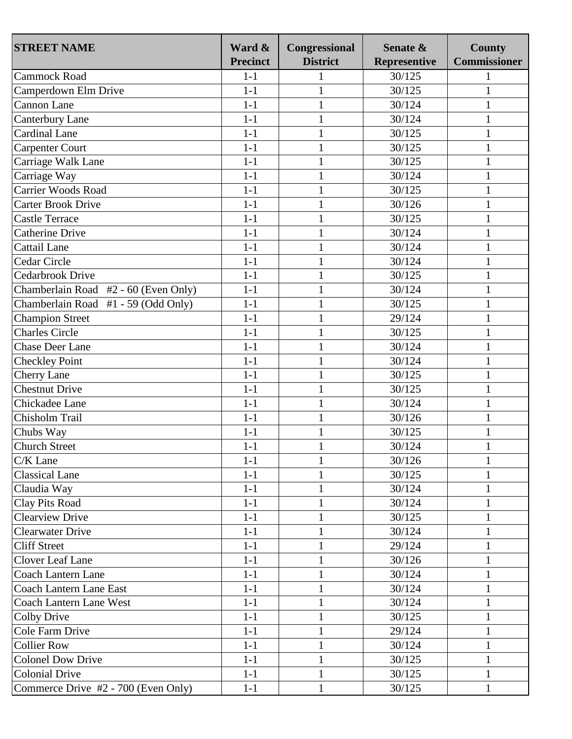| <b>Commissioner</b><br><b>Precinct</b><br><b>District</b><br><b>Representive</b><br>Cammock Road<br>$1-1$<br>30/125<br>$1-1$<br>Camperdown Elm Drive<br>$\mathbf{1}$<br>30/125<br><b>Cannon Lane</b><br>$1-1$<br>$\mathbf{1}$<br>30/124<br>$\mathbf{1}$<br>$1-1$<br>$\mathbf{1}$<br>30/124<br><b>Canterbury Lane</b><br>1<br><b>Cardinal Lane</b><br>$1-1$<br>30/125<br>$\mathbf{1}$<br>1<br><b>Carpenter Court</b><br>$1-1$<br>$\mathbf{1}$<br>30/125<br>1<br>Carriage Walk Lane<br>$1-1$<br>$\mathbf{1}$<br>30/125<br>$\mathbf{1}$<br>Carriage Way<br>$1-1$<br>$\mathbf{1}$<br>30/124<br>1<br>Carrier Woods Road<br>$1-1$<br>30/125<br>$\mathbf{1}$<br>1<br><b>Carter Brook Drive</b><br>$1-1$<br>$\mathbf{1}$<br>30/126<br>1<br>30/125<br><b>Castle Terrace</b><br>$1-1$<br>$\mathbf{1}$<br>1<br><b>Catherine Drive</b><br>$1-1$<br>30/124<br>$\mathbf{1}$<br>1<br>$1-1$<br>30/124<br>Cattail Lane<br>$\mathbf{1}$<br>$\mathbf{1}$<br>Cedar Circle<br>$1-1$<br>$\mathbf{1}$<br>30/124<br>$\mathbf{1}$<br><b>Cedarbrook Drive</b><br>$1-1$<br>$\mathbf{1}$<br>30/125<br>$\mathbf{1}$<br>Chamberlain Road #2 - 60 (Even Only)<br>$1-1$<br>30/124<br>$\mathbf{1}$<br>$\mathbf{1}$<br>Chamberlain Road #1 - 59 (Odd Only)<br>$1-1$<br>$\mathbf{1}$<br>30/125<br>1<br><b>Champion Street</b><br>29/124<br>$1-1$<br>$\mathbf{1}$<br>1<br><b>Charles Circle</b><br>$1-1$<br>$\mathbf{1}$<br>30/125<br><b>Chase Deer Lane</b><br>$1-1$<br>30/124<br>$\mathbf{1}$<br>$\mathbf{1}$<br><b>Checkley Point</b><br>$1-1$<br>$\mathbf{1}$<br>30/124<br>1<br><b>Cherry Lane</b><br>$1-1$<br>30/125<br>$\mathbf{1}$<br>$\mathbf{1}$<br><b>Chestnut Drive</b><br>$1-1$<br>$\mathbf{1}$<br>30/125<br>1<br>Chickadee Lane<br>$1-1$<br>30/124<br>$\mathbf{1}$<br>1<br>Chisholm Trail<br>$1-1$<br>$\mathbf{1}$<br>30/126<br>1<br>$1-1$<br>$\mathbf{1}$<br>30/125<br>Chubs Way<br><b>Church Street</b><br>$1-1$<br>$\mathbf{1}$<br>30/124<br>1<br>$1-1$<br>C/K Lane<br>$\mathbf{1}$<br>30/126<br>1<br><b>Classical Lane</b><br>$1-1$<br>30/125<br>1<br>Claudia Way<br>$1-1$<br>$\mathbf{1}$<br>30/124<br>1<br><b>Clay Pits Road</b><br>30/124<br>$1-1$<br>$\mathbf{1}$<br>$\mathbf{1}$<br><b>Clearview Drive</b><br>$1-1$<br>$\mathbf{1}$<br>30/125<br>1<br><b>Clearwater Drive</b><br>$1-1$<br>30/124<br>$\mathbf{1}$<br>1<br><b>Cliff Street</b><br>$\mathbf{1}$<br>$1-1$<br>29/124<br>1<br><b>Clover Leaf Lane</b><br>$\mathbf{1}$<br>30/126<br>$\mathbf{1}$<br>$1-1$<br><b>Coach Lantern Lane</b><br>$1-1$<br>30/124<br>1<br>1<br><b>Coach Lantern Lane East</b><br>$1-1$<br>$\mathbf{1}$<br>30/124<br>$\mathbf{1}$<br><b>Coach Lantern Lane West</b><br>$1 - 1$<br>$\mathbf{1}$<br>30/124<br>1<br>$\mathbf{1}$<br><b>Colby Drive</b><br>$1-1$<br>30/125<br>$\mathbf{1}$<br>Cole Farm Drive<br>$1-1$<br>$\mathbf{1}$<br>29/124<br>$\mathbf{1}$<br><b>Collier Row</b><br>$1-1$<br>$\mathbf{1}$<br>30/124<br>$\mathbf{1}$<br><b>Colonel Dow Drive</b><br>$1-1$<br>30/125<br>$\mathbf{1}$<br>$\mathbf{1}$<br><b>Colonial Drive</b><br>$1 - 1$<br>$\mathbf{1}$<br>30/125<br>1 | <b>STREET NAME</b>                  | Ward & | Congressional | Senate & | <b>County</b> |
|-----------------------------------------------------------------------------------------------------------------------------------------------------------------------------------------------------------------------------------------------------------------------------------------------------------------------------------------------------------------------------------------------------------------------------------------------------------------------------------------------------------------------------------------------------------------------------------------------------------------------------------------------------------------------------------------------------------------------------------------------------------------------------------------------------------------------------------------------------------------------------------------------------------------------------------------------------------------------------------------------------------------------------------------------------------------------------------------------------------------------------------------------------------------------------------------------------------------------------------------------------------------------------------------------------------------------------------------------------------------------------------------------------------------------------------------------------------------------------------------------------------------------------------------------------------------------------------------------------------------------------------------------------------------------------------------------------------------------------------------------------------------------------------------------------------------------------------------------------------------------------------------------------------------------------------------------------------------------------------------------------------------------------------------------------------------------------------------------------------------------------------------------------------------------------------------------------------------------------------------------------------------------------------------------------------------------------------------------------------------------------------------------------------------------------------------------------------------------------------------------------------------------------------------------------------------------------------------------------------------------------------------------------------------------------------------------------------------------------------------------------------------------------------------------------------------------------------------------------------------------------------------------------------------------------------------------------------------------------------------------------------------------------------------------------------|-------------------------------------|--------|---------------|----------|---------------|
|                                                                                                                                                                                                                                                                                                                                                                                                                                                                                                                                                                                                                                                                                                                                                                                                                                                                                                                                                                                                                                                                                                                                                                                                                                                                                                                                                                                                                                                                                                                                                                                                                                                                                                                                                                                                                                                                                                                                                                                                                                                                                                                                                                                                                                                                                                                                                                                                                                                                                                                                                                                                                                                                                                                                                                                                                                                                                                                                                                                                                                                           |                                     |        |               |          |               |
|                                                                                                                                                                                                                                                                                                                                                                                                                                                                                                                                                                                                                                                                                                                                                                                                                                                                                                                                                                                                                                                                                                                                                                                                                                                                                                                                                                                                                                                                                                                                                                                                                                                                                                                                                                                                                                                                                                                                                                                                                                                                                                                                                                                                                                                                                                                                                                                                                                                                                                                                                                                                                                                                                                                                                                                                                                                                                                                                                                                                                                                           |                                     |        |               |          |               |
|                                                                                                                                                                                                                                                                                                                                                                                                                                                                                                                                                                                                                                                                                                                                                                                                                                                                                                                                                                                                                                                                                                                                                                                                                                                                                                                                                                                                                                                                                                                                                                                                                                                                                                                                                                                                                                                                                                                                                                                                                                                                                                                                                                                                                                                                                                                                                                                                                                                                                                                                                                                                                                                                                                                                                                                                                                                                                                                                                                                                                                                           |                                     |        |               |          |               |
|                                                                                                                                                                                                                                                                                                                                                                                                                                                                                                                                                                                                                                                                                                                                                                                                                                                                                                                                                                                                                                                                                                                                                                                                                                                                                                                                                                                                                                                                                                                                                                                                                                                                                                                                                                                                                                                                                                                                                                                                                                                                                                                                                                                                                                                                                                                                                                                                                                                                                                                                                                                                                                                                                                                                                                                                                                                                                                                                                                                                                                                           |                                     |        |               |          |               |
|                                                                                                                                                                                                                                                                                                                                                                                                                                                                                                                                                                                                                                                                                                                                                                                                                                                                                                                                                                                                                                                                                                                                                                                                                                                                                                                                                                                                                                                                                                                                                                                                                                                                                                                                                                                                                                                                                                                                                                                                                                                                                                                                                                                                                                                                                                                                                                                                                                                                                                                                                                                                                                                                                                                                                                                                                                                                                                                                                                                                                                                           |                                     |        |               |          |               |
|                                                                                                                                                                                                                                                                                                                                                                                                                                                                                                                                                                                                                                                                                                                                                                                                                                                                                                                                                                                                                                                                                                                                                                                                                                                                                                                                                                                                                                                                                                                                                                                                                                                                                                                                                                                                                                                                                                                                                                                                                                                                                                                                                                                                                                                                                                                                                                                                                                                                                                                                                                                                                                                                                                                                                                                                                                                                                                                                                                                                                                                           |                                     |        |               |          |               |
|                                                                                                                                                                                                                                                                                                                                                                                                                                                                                                                                                                                                                                                                                                                                                                                                                                                                                                                                                                                                                                                                                                                                                                                                                                                                                                                                                                                                                                                                                                                                                                                                                                                                                                                                                                                                                                                                                                                                                                                                                                                                                                                                                                                                                                                                                                                                                                                                                                                                                                                                                                                                                                                                                                                                                                                                                                                                                                                                                                                                                                                           |                                     |        |               |          |               |
|                                                                                                                                                                                                                                                                                                                                                                                                                                                                                                                                                                                                                                                                                                                                                                                                                                                                                                                                                                                                                                                                                                                                                                                                                                                                                                                                                                                                                                                                                                                                                                                                                                                                                                                                                                                                                                                                                                                                                                                                                                                                                                                                                                                                                                                                                                                                                                                                                                                                                                                                                                                                                                                                                                                                                                                                                                                                                                                                                                                                                                                           |                                     |        |               |          |               |
|                                                                                                                                                                                                                                                                                                                                                                                                                                                                                                                                                                                                                                                                                                                                                                                                                                                                                                                                                                                                                                                                                                                                                                                                                                                                                                                                                                                                                                                                                                                                                                                                                                                                                                                                                                                                                                                                                                                                                                                                                                                                                                                                                                                                                                                                                                                                                                                                                                                                                                                                                                                                                                                                                                                                                                                                                                                                                                                                                                                                                                                           |                                     |        |               |          |               |
|                                                                                                                                                                                                                                                                                                                                                                                                                                                                                                                                                                                                                                                                                                                                                                                                                                                                                                                                                                                                                                                                                                                                                                                                                                                                                                                                                                                                                                                                                                                                                                                                                                                                                                                                                                                                                                                                                                                                                                                                                                                                                                                                                                                                                                                                                                                                                                                                                                                                                                                                                                                                                                                                                                                                                                                                                                                                                                                                                                                                                                                           |                                     |        |               |          |               |
|                                                                                                                                                                                                                                                                                                                                                                                                                                                                                                                                                                                                                                                                                                                                                                                                                                                                                                                                                                                                                                                                                                                                                                                                                                                                                                                                                                                                                                                                                                                                                                                                                                                                                                                                                                                                                                                                                                                                                                                                                                                                                                                                                                                                                                                                                                                                                                                                                                                                                                                                                                                                                                                                                                                                                                                                                                                                                                                                                                                                                                                           |                                     |        |               |          |               |
|                                                                                                                                                                                                                                                                                                                                                                                                                                                                                                                                                                                                                                                                                                                                                                                                                                                                                                                                                                                                                                                                                                                                                                                                                                                                                                                                                                                                                                                                                                                                                                                                                                                                                                                                                                                                                                                                                                                                                                                                                                                                                                                                                                                                                                                                                                                                                                                                                                                                                                                                                                                                                                                                                                                                                                                                                                                                                                                                                                                                                                                           |                                     |        |               |          |               |
|                                                                                                                                                                                                                                                                                                                                                                                                                                                                                                                                                                                                                                                                                                                                                                                                                                                                                                                                                                                                                                                                                                                                                                                                                                                                                                                                                                                                                                                                                                                                                                                                                                                                                                                                                                                                                                                                                                                                                                                                                                                                                                                                                                                                                                                                                                                                                                                                                                                                                                                                                                                                                                                                                                                                                                                                                                                                                                                                                                                                                                                           |                                     |        |               |          |               |
|                                                                                                                                                                                                                                                                                                                                                                                                                                                                                                                                                                                                                                                                                                                                                                                                                                                                                                                                                                                                                                                                                                                                                                                                                                                                                                                                                                                                                                                                                                                                                                                                                                                                                                                                                                                                                                                                                                                                                                                                                                                                                                                                                                                                                                                                                                                                                                                                                                                                                                                                                                                                                                                                                                                                                                                                                                                                                                                                                                                                                                                           |                                     |        |               |          |               |
|                                                                                                                                                                                                                                                                                                                                                                                                                                                                                                                                                                                                                                                                                                                                                                                                                                                                                                                                                                                                                                                                                                                                                                                                                                                                                                                                                                                                                                                                                                                                                                                                                                                                                                                                                                                                                                                                                                                                                                                                                                                                                                                                                                                                                                                                                                                                                                                                                                                                                                                                                                                                                                                                                                                                                                                                                                                                                                                                                                                                                                                           |                                     |        |               |          |               |
|                                                                                                                                                                                                                                                                                                                                                                                                                                                                                                                                                                                                                                                                                                                                                                                                                                                                                                                                                                                                                                                                                                                                                                                                                                                                                                                                                                                                                                                                                                                                                                                                                                                                                                                                                                                                                                                                                                                                                                                                                                                                                                                                                                                                                                                                                                                                                                                                                                                                                                                                                                                                                                                                                                                                                                                                                                                                                                                                                                                                                                                           |                                     |        |               |          |               |
|                                                                                                                                                                                                                                                                                                                                                                                                                                                                                                                                                                                                                                                                                                                                                                                                                                                                                                                                                                                                                                                                                                                                                                                                                                                                                                                                                                                                                                                                                                                                                                                                                                                                                                                                                                                                                                                                                                                                                                                                                                                                                                                                                                                                                                                                                                                                                                                                                                                                                                                                                                                                                                                                                                                                                                                                                                                                                                                                                                                                                                                           |                                     |        |               |          |               |
|                                                                                                                                                                                                                                                                                                                                                                                                                                                                                                                                                                                                                                                                                                                                                                                                                                                                                                                                                                                                                                                                                                                                                                                                                                                                                                                                                                                                                                                                                                                                                                                                                                                                                                                                                                                                                                                                                                                                                                                                                                                                                                                                                                                                                                                                                                                                                                                                                                                                                                                                                                                                                                                                                                                                                                                                                                                                                                                                                                                                                                                           |                                     |        |               |          |               |
|                                                                                                                                                                                                                                                                                                                                                                                                                                                                                                                                                                                                                                                                                                                                                                                                                                                                                                                                                                                                                                                                                                                                                                                                                                                                                                                                                                                                                                                                                                                                                                                                                                                                                                                                                                                                                                                                                                                                                                                                                                                                                                                                                                                                                                                                                                                                                                                                                                                                                                                                                                                                                                                                                                                                                                                                                                                                                                                                                                                                                                                           |                                     |        |               |          |               |
|                                                                                                                                                                                                                                                                                                                                                                                                                                                                                                                                                                                                                                                                                                                                                                                                                                                                                                                                                                                                                                                                                                                                                                                                                                                                                                                                                                                                                                                                                                                                                                                                                                                                                                                                                                                                                                                                                                                                                                                                                                                                                                                                                                                                                                                                                                                                                                                                                                                                                                                                                                                                                                                                                                                                                                                                                                                                                                                                                                                                                                                           |                                     |        |               |          |               |
|                                                                                                                                                                                                                                                                                                                                                                                                                                                                                                                                                                                                                                                                                                                                                                                                                                                                                                                                                                                                                                                                                                                                                                                                                                                                                                                                                                                                                                                                                                                                                                                                                                                                                                                                                                                                                                                                                                                                                                                                                                                                                                                                                                                                                                                                                                                                                                                                                                                                                                                                                                                                                                                                                                                                                                                                                                                                                                                                                                                                                                                           |                                     |        |               |          |               |
|                                                                                                                                                                                                                                                                                                                                                                                                                                                                                                                                                                                                                                                                                                                                                                                                                                                                                                                                                                                                                                                                                                                                                                                                                                                                                                                                                                                                                                                                                                                                                                                                                                                                                                                                                                                                                                                                                                                                                                                                                                                                                                                                                                                                                                                                                                                                                                                                                                                                                                                                                                                                                                                                                                                                                                                                                                                                                                                                                                                                                                                           |                                     |        |               |          |               |
|                                                                                                                                                                                                                                                                                                                                                                                                                                                                                                                                                                                                                                                                                                                                                                                                                                                                                                                                                                                                                                                                                                                                                                                                                                                                                                                                                                                                                                                                                                                                                                                                                                                                                                                                                                                                                                                                                                                                                                                                                                                                                                                                                                                                                                                                                                                                                                                                                                                                                                                                                                                                                                                                                                                                                                                                                                                                                                                                                                                                                                                           |                                     |        |               |          |               |
|                                                                                                                                                                                                                                                                                                                                                                                                                                                                                                                                                                                                                                                                                                                                                                                                                                                                                                                                                                                                                                                                                                                                                                                                                                                                                                                                                                                                                                                                                                                                                                                                                                                                                                                                                                                                                                                                                                                                                                                                                                                                                                                                                                                                                                                                                                                                                                                                                                                                                                                                                                                                                                                                                                                                                                                                                                                                                                                                                                                                                                                           |                                     |        |               |          |               |
|                                                                                                                                                                                                                                                                                                                                                                                                                                                                                                                                                                                                                                                                                                                                                                                                                                                                                                                                                                                                                                                                                                                                                                                                                                                                                                                                                                                                                                                                                                                                                                                                                                                                                                                                                                                                                                                                                                                                                                                                                                                                                                                                                                                                                                                                                                                                                                                                                                                                                                                                                                                                                                                                                                                                                                                                                                                                                                                                                                                                                                                           |                                     |        |               |          |               |
|                                                                                                                                                                                                                                                                                                                                                                                                                                                                                                                                                                                                                                                                                                                                                                                                                                                                                                                                                                                                                                                                                                                                                                                                                                                                                                                                                                                                                                                                                                                                                                                                                                                                                                                                                                                                                                                                                                                                                                                                                                                                                                                                                                                                                                                                                                                                                                                                                                                                                                                                                                                                                                                                                                                                                                                                                                                                                                                                                                                                                                                           |                                     |        |               |          |               |
|                                                                                                                                                                                                                                                                                                                                                                                                                                                                                                                                                                                                                                                                                                                                                                                                                                                                                                                                                                                                                                                                                                                                                                                                                                                                                                                                                                                                                                                                                                                                                                                                                                                                                                                                                                                                                                                                                                                                                                                                                                                                                                                                                                                                                                                                                                                                                                                                                                                                                                                                                                                                                                                                                                                                                                                                                                                                                                                                                                                                                                                           |                                     |        |               |          |               |
|                                                                                                                                                                                                                                                                                                                                                                                                                                                                                                                                                                                                                                                                                                                                                                                                                                                                                                                                                                                                                                                                                                                                                                                                                                                                                                                                                                                                                                                                                                                                                                                                                                                                                                                                                                                                                                                                                                                                                                                                                                                                                                                                                                                                                                                                                                                                                                                                                                                                                                                                                                                                                                                                                                                                                                                                                                                                                                                                                                                                                                                           |                                     |        |               |          |               |
|                                                                                                                                                                                                                                                                                                                                                                                                                                                                                                                                                                                                                                                                                                                                                                                                                                                                                                                                                                                                                                                                                                                                                                                                                                                                                                                                                                                                                                                                                                                                                                                                                                                                                                                                                                                                                                                                                                                                                                                                                                                                                                                                                                                                                                                                                                                                                                                                                                                                                                                                                                                                                                                                                                                                                                                                                                                                                                                                                                                                                                                           |                                     |        |               |          |               |
|                                                                                                                                                                                                                                                                                                                                                                                                                                                                                                                                                                                                                                                                                                                                                                                                                                                                                                                                                                                                                                                                                                                                                                                                                                                                                                                                                                                                                                                                                                                                                                                                                                                                                                                                                                                                                                                                                                                                                                                                                                                                                                                                                                                                                                                                                                                                                                                                                                                                                                                                                                                                                                                                                                                                                                                                                                                                                                                                                                                                                                                           |                                     |        |               |          |               |
|                                                                                                                                                                                                                                                                                                                                                                                                                                                                                                                                                                                                                                                                                                                                                                                                                                                                                                                                                                                                                                                                                                                                                                                                                                                                                                                                                                                                                                                                                                                                                                                                                                                                                                                                                                                                                                                                                                                                                                                                                                                                                                                                                                                                                                                                                                                                                                                                                                                                                                                                                                                                                                                                                                                                                                                                                                                                                                                                                                                                                                                           |                                     |        |               |          |               |
|                                                                                                                                                                                                                                                                                                                                                                                                                                                                                                                                                                                                                                                                                                                                                                                                                                                                                                                                                                                                                                                                                                                                                                                                                                                                                                                                                                                                                                                                                                                                                                                                                                                                                                                                                                                                                                                                                                                                                                                                                                                                                                                                                                                                                                                                                                                                                                                                                                                                                                                                                                                                                                                                                                                                                                                                                                                                                                                                                                                                                                                           |                                     |        |               |          |               |
|                                                                                                                                                                                                                                                                                                                                                                                                                                                                                                                                                                                                                                                                                                                                                                                                                                                                                                                                                                                                                                                                                                                                                                                                                                                                                                                                                                                                                                                                                                                                                                                                                                                                                                                                                                                                                                                                                                                                                                                                                                                                                                                                                                                                                                                                                                                                                                                                                                                                                                                                                                                                                                                                                                                                                                                                                                                                                                                                                                                                                                                           |                                     |        |               |          |               |
|                                                                                                                                                                                                                                                                                                                                                                                                                                                                                                                                                                                                                                                                                                                                                                                                                                                                                                                                                                                                                                                                                                                                                                                                                                                                                                                                                                                                                                                                                                                                                                                                                                                                                                                                                                                                                                                                                                                                                                                                                                                                                                                                                                                                                                                                                                                                                                                                                                                                                                                                                                                                                                                                                                                                                                                                                                                                                                                                                                                                                                                           |                                     |        |               |          |               |
|                                                                                                                                                                                                                                                                                                                                                                                                                                                                                                                                                                                                                                                                                                                                                                                                                                                                                                                                                                                                                                                                                                                                                                                                                                                                                                                                                                                                                                                                                                                                                                                                                                                                                                                                                                                                                                                                                                                                                                                                                                                                                                                                                                                                                                                                                                                                                                                                                                                                                                                                                                                                                                                                                                                                                                                                                                                                                                                                                                                                                                                           |                                     |        |               |          |               |
|                                                                                                                                                                                                                                                                                                                                                                                                                                                                                                                                                                                                                                                                                                                                                                                                                                                                                                                                                                                                                                                                                                                                                                                                                                                                                                                                                                                                                                                                                                                                                                                                                                                                                                                                                                                                                                                                                                                                                                                                                                                                                                                                                                                                                                                                                                                                                                                                                                                                                                                                                                                                                                                                                                                                                                                                                                                                                                                                                                                                                                                           |                                     |        |               |          |               |
|                                                                                                                                                                                                                                                                                                                                                                                                                                                                                                                                                                                                                                                                                                                                                                                                                                                                                                                                                                                                                                                                                                                                                                                                                                                                                                                                                                                                                                                                                                                                                                                                                                                                                                                                                                                                                                                                                                                                                                                                                                                                                                                                                                                                                                                                                                                                                                                                                                                                                                                                                                                                                                                                                                                                                                                                                                                                                                                                                                                                                                                           |                                     |        |               |          |               |
|                                                                                                                                                                                                                                                                                                                                                                                                                                                                                                                                                                                                                                                                                                                                                                                                                                                                                                                                                                                                                                                                                                                                                                                                                                                                                                                                                                                                                                                                                                                                                                                                                                                                                                                                                                                                                                                                                                                                                                                                                                                                                                                                                                                                                                                                                                                                                                                                                                                                                                                                                                                                                                                                                                                                                                                                                                                                                                                                                                                                                                                           |                                     |        |               |          |               |
|                                                                                                                                                                                                                                                                                                                                                                                                                                                                                                                                                                                                                                                                                                                                                                                                                                                                                                                                                                                                                                                                                                                                                                                                                                                                                                                                                                                                                                                                                                                                                                                                                                                                                                                                                                                                                                                                                                                                                                                                                                                                                                                                                                                                                                                                                                                                                                                                                                                                                                                                                                                                                                                                                                                                                                                                                                                                                                                                                                                                                                                           |                                     |        |               |          |               |
|                                                                                                                                                                                                                                                                                                                                                                                                                                                                                                                                                                                                                                                                                                                                                                                                                                                                                                                                                                                                                                                                                                                                                                                                                                                                                                                                                                                                                                                                                                                                                                                                                                                                                                                                                                                                                                                                                                                                                                                                                                                                                                                                                                                                                                                                                                                                                                                                                                                                                                                                                                                                                                                                                                                                                                                                                                                                                                                                                                                                                                                           |                                     |        |               |          |               |
|                                                                                                                                                                                                                                                                                                                                                                                                                                                                                                                                                                                                                                                                                                                                                                                                                                                                                                                                                                                                                                                                                                                                                                                                                                                                                                                                                                                                                                                                                                                                                                                                                                                                                                                                                                                                                                                                                                                                                                                                                                                                                                                                                                                                                                                                                                                                                                                                                                                                                                                                                                                                                                                                                                                                                                                                                                                                                                                                                                                                                                                           |                                     |        |               |          |               |
|                                                                                                                                                                                                                                                                                                                                                                                                                                                                                                                                                                                                                                                                                                                                                                                                                                                                                                                                                                                                                                                                                                                                                                                                                                                                                                                                                                                                                                                                                                                                                                                                                                                                                                                                                                                                                                                                                                                                                                                                                                                                                                                                                                                                                                                                                                                                                                                                                                                                                                                                                                                                                                                                                                                                                                                                                                                                                                                                                                                                                                                           |                                     |        |               |          |               |
|                                                                                                                                                                                                                                                                                                                                                                                                                                                                                                                                                                                                                                                                                                                                                                                                                                                                                                                                                                                                                                                                                                                                                                                                                                                                                                                                                                                                                                                                                                                                                                                                                                                                                                                                                                                                                                                                                                                                                                                                                                                                                                                                                                                                                                                                                                                                                                                                                                                                                                                                                                                                                                                                                                                                                                                                                                                                                                                                                                                                                                                           |                                     |        |               |          |               |
|                                                                                                                                                                                                                                                                                                                                                                                                                                                                                                                                                                                                                                                                                                                                                                                                                                                                                                                                                                                                                                                                                                                                                                                                                                                                                                                                                                                                                                                                                                                                                                                                                                                                                                                                                                                                                                                                                                                                                                                                                                                                                                                                                                                                                                                                                                                                                                                                                                                                                                                                                                                                                                                                                                                                                                                                                                                                                                                                                                                                                                                           |                                     |        |               |          |               |
|                                                                                                                                                                                                                                                                                                                                                                                                                                                                                                                                                                                                                                                                                                                                                                                                                                                                                                                                                                                                                                                                                                                                                                                                                                                                                                                                                                                                                                                                                                                                                                                                                                                                                                                                                                                                                                                                                                                                                                                                                                                                                                                                                                                                                                                                                                                                                                                                                                                                                                                                                                                                                                                                                                                                                                                                                                                                                                                                                                                                                                                           | Commerce Drive #2 - 700 (Even Only) | $1-1$  | 1             | 30/125   |               |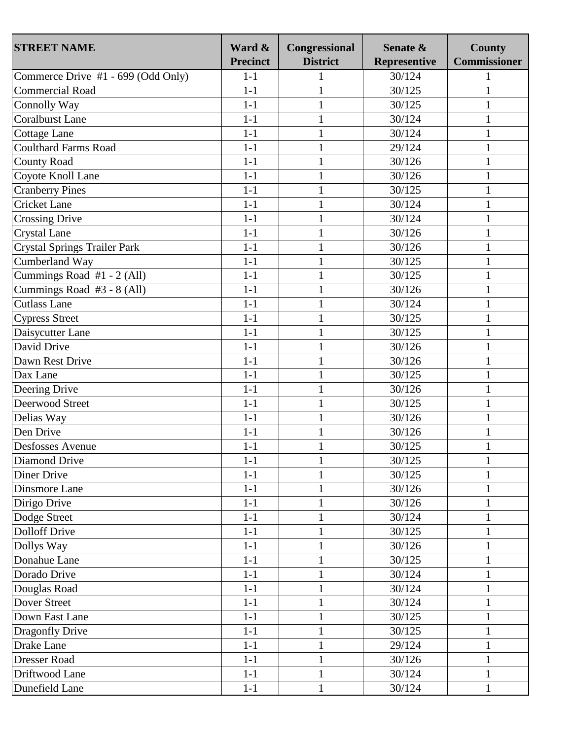| <b>STREET NAME</b>                  | Ward &<br><b>Precinct</b> | Congressional<br><b>District</b> | Senate &<br><b>Representive</b> | <b>County</b><br><b>Commissioner</b> |
|-------------------------------------|---------------------------|----------------------------------|---------------------------------|--------------------------------------|
| Commerce Drive #1 - 699 (Odd Only)  | $1-1$                     | 1                                | 30/124                          | 1                                    |
| <b>Commercial Road</b>              | $1-1$                     | $\mathbf{1}$                     | 30/125                          | 1                                    |
| Connolly Way                        | $1-1$                     | $\mathbf{1}$                     | 30/125                          | 1                                    |
| <b>Coralburst Lane</b>              | $1-1$                     | $\mathbf{1}$                     | 30/124                          | 1                                    |
| <b>Cottage Lane</b>                 | $1-1$                     | $\mathbf{1}$                     | 30/124                          | 1                                    |
| <b>Coulthard Farms Road</b>         | $1-1$                     | $\mathbf{1}$                     | 29/124                          | 1                                    |
| <b>County Road</b>                  | $1-1$                     | $\mathbf{1}$                     | 30/126                          | 1                                    |
| Coyote Knoll Lane                   | $1-1$                     | 1                                | 30/126                          | 1                                    |
| <b>Cranberry Pines</b>              | $1-1$                     | $\mathbf{1}$                     | 30/125                          | 1                                    |
| <b>Cricket Lane</b>                 | $1-1$                     | $\mathbf{1}$                     | 30/124                          | 1                                    |
| <b>Crossing Drive</b>               | $1-1$                     | $\mathbf{1}$                     | 30/124                          | 1                                    |
| <b>Crystal Lane</b>                 | $1-1$                     | $\mathbf{1}$                     | 30/126                          | $\mathbf{1}$                         |
| <b>Crystal Springs Trailer Park</b> | $1-1$                     | $\mathbf{1}$                     | 30/126                          | 1                                    |
| Cumberland Way                      | $1-1$                     | $\mathbf{1}$                     | 30/125                          | 1                                    |
| Cummings Road #1 - 2 (All)          | $1-1$                     | $\mathbf{1}$                     | 30/125                          | 1                                    |
| Cummings Road #3 - 8 (All)          | $1-1$                     | 1                                | 30/126                          |                                      |
| <b>Cutlass Lane</b>                 | $1-1$                     | $\mathbf{1}$                     | 30/124                          |                                      |
| <b>Cypress Street</b>               | $1-1$                     | $\mathbf{1}$                     | 30/125                          | $\mathbf{1}$                         |
| Daisycutter Lane                    | $1-1$                     | $\mathbf{1}$                     | 30/125                          | 1                                    |
| David Drive                         | $1-1$                     | $\mathbf{1}$                     | 30/126                          | $\mathbf{1}$                         |
| Dawn Rest Drive                     | $1-1$                     | $\mathbf{1}$                     | 30/126                          | 1                                    |
| Dax Lane                            | $1-1$                     | $\mathbf{1}$                     | 30/125                          |                                      |
| Deering Drive                       | $1-1$                     | $\mathbf{1}$                     | 30/126                          | 1                                    |
| Deerwood Street                     | $1-1$                     | $\mathbf{1}$                     | 30/125                          | 1                                    |
| Delias Way                          | $1-1$                     | $\mathbf{1}$                     | 30/126                          | $\mathbf{1}$                         |
| Den Drive                           | $1-1$                     | $\mathbf{1}$                     | 30/126                          | 1                                    |
| <b>Desfosses Avenue</b>             | $1-1$                     | $\mathbf{1}$                     | 30/125                          | 1                                    |
| Diamond Drive                       | $1 - 1$                   | 1                                | 30/125                          | 1                                    |
| Diner Drive                         | $1-1$                     | $\mathbf{1}$                     | 30/125                          | 1                                    |
| Dinsmore Lane                       | $1 - 1$                   | $\mathbf{1}$                     | 30/126                          | 1                                    |
| Dirigo Drive                        | $1-1$                     | $\mathbf{1}$                     | 30/126                          | $\mathbf{1}$                         |
| Dodge Street                        | $1-1$                     | 1                                | 30/124                          | 1                                    |
| <b>Dolloff Drive</b>                | $1-1$                     | $\mathbf{1}$                     | 30/125                          | $\mathbf{1}$                         |
| Dollys Way                          | $1 - 1$                   | $\mathbf{1}$                     | 30/126                          | $\mathbf{1}$                         |
| Donahue Lane                        | $1-1$                     | $\mathbf{1}$                     | 30/125                          | $\mathbf{1}$                         |
| Dorado Drive                        | $1-1$                     | $\mathbf{1}$                     | 30/124                          | $\mathbf{1}$                         |
| Douglas Road                        | $1-1$                     | $\mathbf{1}$                     | 30/124                          | $\mathbf{1}$                         |
| Dover Street                        | $1-1$                     | $\mathbf{1}$                     | 30/124                          | $\mathbf{1}$                         |
| Down East Lane                      | $1-1$                     | $\mathbf{1}$                     | 30/125                          | $\mathbf{1}$                         |
| Dragonfly Drive                     | $1-1$                     | 1                                | 30/125                          | 1                                    |
| Drake Lane                          | $1-1$                     | $\mathbf{1}$                     | 29/124                          |                                      |
| <b>Dresser Road</b>                 | $1-1$                     | $\mathbf{1}$                     | 30/126                          | $\mathbf{1}$                         |
| Driftwood Lane                      | $1-1$                     | $\mathbf{1}$                     | 30/124                          | 1                                    |
| Dunefield Lane                      | $1-1$                     | $\mathbf{1}$                     | 30/124                          | 1                                    |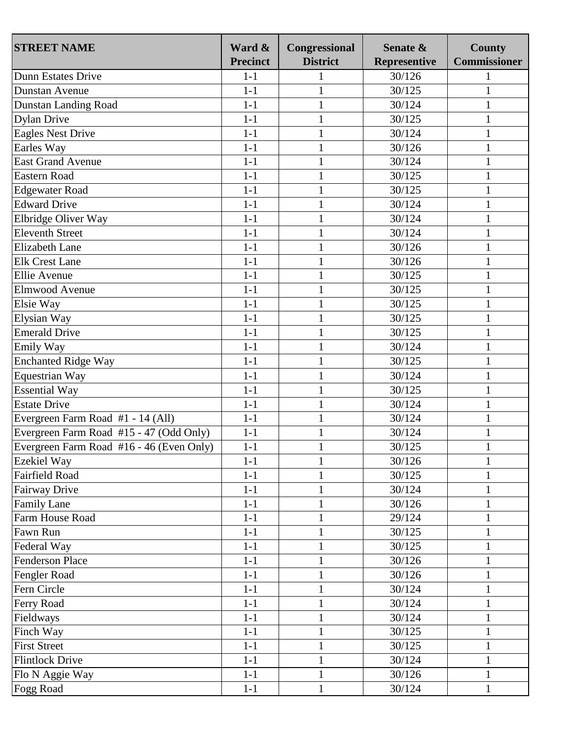| <b>STREET NAME</b>                       | Ward &<br><b>Precinct</b> | Congressional<br><b>District</b> | Senate &<br><b>Representive</b> | <b>County</b><br><b>Commissioner</b> |
|------------------------------------------|---------------------------|----------------------------------|---------------------------------|--------------------------------------|
| Dunn Estates Drive                       | $1 - 1$                   |                                  | 30/126                          |                                      |
| <b>Dunstan Avenue</b>                    | $1-1$                     | $\mathbf{1}$                     | 30/125                          |                                      |
| Dunstan Landing Road                     | $1-1$                     | $\mathbf{1}$                     | 30/124                          | 1                                    |
| <b>Dylan Drive</b>                       | $1-1$                     | $\mathbf{1}$                     | 30/125                          | 1                                    |
| <b>Eagles Nest Drive</b>                 | $1 - 1$                   | $\mathbf{1}$                     | 30/124                          | 1                                    |
| Earles Way                               | $1 - 1$                   | $\mathbf{1}$                     | 30/126                          | 1                                    |
| <b>East Grand Avenue</b>                 | $1 - 1$                   | $\mathbf{1}$                     | 30/124                          | 1                                    |
| Eastern Road                             | $1-1$                     | $\mathbf{1}$                     | 30/125                          | 1                                    |
| <b>Edgewater Road</b>                    | $1 - 1$                   | $\mathbf{1}$                     | 30/125                          | 1                                    |
| <b>Edward Drive</b>                      | $1-1$                     | $\mathbf{1}$                     | 30/124                          |                                      |
|                                          |                           |                                  |                                 | 1                                    |
| Elbridge Oliver Way                      | $1 - 1$                   | $\mathbf{1}$                     | 30/124                          | 1                                    |
| <b>Eleventh Street</b>                   | $1 - 1$                   | $\mathbf{1}$                     | 30/124                          | 1                                    |
| <b>Elizabeth Lane</b>                    | $1-1$                     | $\mathbf{1}$                     | 30/126                          | 1                                    |
| <b>Elk Crest Lane</b>                    | $1-1$                     | $\mathbf{1}$                     | 30/126                          | 1                                    |
| Ellie Avenue                             | $1 - 1$                   | $\mathbf{1}$                     | 30/125                          | $\mathbf{1}$                         |
| Elmwood Avenue                           | $1 - 1$                   | $\mathbf{1}$                     | 30/125                          | 1                                    |
| Elsie Way                                | $1-1$                     | $\mathbf{1}$                     | 30/125                          | 1                                    |
| Elysian Way                              | $1 - 1$                   | $\mathbf{1}$                     | 30/125                          | 1                                    |
| <b>Emerald Drive</b>                     | $1 - 1$                   | $\mathbf{1}$                     | 30/125                          |                                      |
| Emily Way                                | $1 - 1$                   | $\mathbf{1}$                     | 30/124                          | 1                                    |
| <b>Enchanted Ridge Way</b>               | $1-1$                     | $\mathbf{1}$                     | 30/125                          | 1                                    |
| <b>Equestrian Way</b>                    | $1-1$                     | $\mathbf{1}$                     | 30/124                          | 1                                    |
| <b>Essential Way</b>                     | $1-1$                     | $\mathbf{1}$                     | 30/125                          | 1                                    |
| <b>Estate Drive</b>                      | $1-1$                     | $\mathbf{1}$                     | 30/124                          | 1                                    |
| Evergreen Farm Road #1 - 14 (All)        | $1-1$                     | $\mathbf{1}$                     | 30/124                          | $\mathbf{1}$                         |
| Evergreen Farm Road #15 - 47 (Odd Only)  | $1-1$                     | $\mathbf{1}$                     | 30/124                          | 1                                    |
| Evergreen Farm Road #16 - 46 (Even Only) | $1 - 1$                   | $\mathbf{1}$                     | 30/125                          | 1                                    |
| <b>Ezekiel Way</b>                       | $1 - 1$                   | $\mathbf{1}$                     | 30/126                          | 1                                    |
| <b>Fairfield Road</b>                    | $1 - 1$                   | $\mathbf{1}$                     | 30/125                          | 1                                    |
| <b>Fairway Drive</b>                     | $1 - 1$                   | $\mathbf{1}$                     | 30/124                          | 1                                    |
| <b>Family Lane</b>                       | $1-1$                     | $\mathbf{1}$                     | 30/126                          | $\mathbf{1}$                         |
| Farm House Road                          | $1 - 1$                   | $\mathbf{1}$                     | 29/124                          | 1                                    |
| Fawn Run                                 | $1-1$                     | $\mathbf{1}$                     | 30/125                          | $\mathbf{1}$                         |
| Federal Way                              | $1 - 1$                   | $\mathbf{1}$                     | 30/125                          | 1                                    |
| <b>Fenderson Place</b>                   | $1-1$                     | $\mathbf{1}$                     | 30/126                          |                                      |
| Fengler Road                             | $1 - 1$                   | $\mathbf{1}$                     | 30/126                          | $\mathbf{1}$                         |
| Fern Circle                              | $1 - 1$                   | $\mathbf{1}$                     | 30/124                          | $\mathbf{1}$                         |
| Ferry Road                               | $1-1$                     | $\mathbf{1}$                     | 30/124                          | 1                                    |
| Fieldways                                | $1-1$                     | $\mathbf{1}$                     | 30/124                          | 1                                    |
| Finch Way                                | $1-1$                     | $\mathbf{1}$                     | 30/125                          | 1                                    |
| <b>First Street</b>                      | $1 - 1$                   | $\mathbf{1}$                     | 30/125                          |                                      |
| <b>Flintlock Drive</b>                   | $1-1$                     | $\mathbf{1}$                     | 30/124                          | $\mathbf{1}$                         |
| Flo N Aggie Way                          | $1 - 1$                   | $\mathbf{1}$                     | 30/126                          | 1                                    |
| <b>Fogg Road</b>                         | $1-1$                     | $\mathbf{1}$                     | 30/124                          |                                      |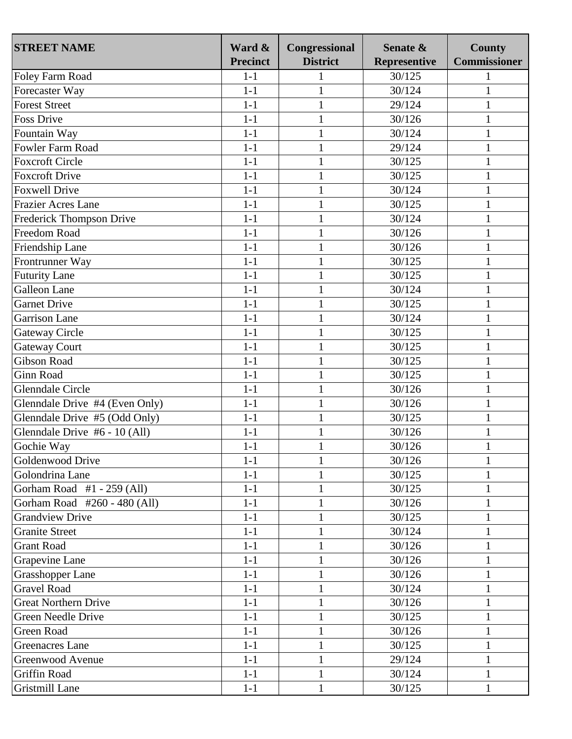| <b>STREET NAME</b>             | Ward &<br><b>Precinct</b> | Congressional<br><b>District</b> | Senate &<br><b>Representive</b> | <b>County</b><br><b>Commissioner</b> |
|--------------------------------|---------------------------|----------------------------------|---------------------------------|--------------------------------------|
| Foley Farm Road                | $1-1$                     | $\mathbf{1}$                     | 30/125                          |                                      |
| Forecaster Way                 | $1-1$                     | $\mathbf{1}$                     | 30/124                          | 1                                    |
| <b>Forest Street</b>           | $1 - 1$                   | $\mathbf{1}$                     | 29/124                          | 1                                    |
| <b>Foss Drive</b>              | $1 - 1$                   | $\mathbf{1}$                     | 30/126                          | 1                                    |
| Fountain Way                   | $1-1$                     | $\mathbf{1}$                     | 30/124                          | 1                                    |
| Fowler Farm Road               | $1-1$                     | $\mathbf{1}$                     | 29/124                          |                                      |
| <b>Foxcroft Circle</b>         | $1-1$                     | $\mathbf{1}$                     | 30/125                          | 1                                    |
| <b>Foxcroft Drive</b>          | $1-1$                     | $\mathbf{1}$                     | 30/125                          |                                      |
| <b>Foxwell Drive</b>           | $1 - 1$                   | $\mathbf{1}$                     | 30/124                          | $\mathbf{1}$                         |
| <b>Frazier Acres Lane</b>      |                           |                                  |                                 |                                      |
|                                | $1-1$                     | $\mathbf{1}$                     | 30/125                          | 1                                    |
| Frederick Thompson Drive       | $1-1$                     | $\mathbf{1}$                     | 30/124                          | 1                                    |
| Freedom Road                   | $1-1$                     | $\mathbf{1}$                     | 30/126                          | 1                                    |
| Friendship Lane                | $1-1$                     | $\mathbf{1}$                     | 30/126                          | $\mathbf{1}$                         |
| Frontrunner Way                | $1-1$                     | $\mathbf{1}$                     | 30/125                          | $\mathbf{1}$                         |
| <b>Futurity Lane</b>           | $1 - 1$                   | $\mathbf{1}$                     | 30/125                          | 1                                    |
| Galleon Lane                   | $1 - 1$                   | $\mathbf{1}$                     | 30/124                          | 1                                    |
| <b>Garnet Drive</b>            | $1-1$                     | $\mathbf{1}$                     | 30/125                          | 1                                    |
| <b>Garrison Lane</b>           | $1 - 1$                   | $\mathbf{1}$                     | 30/124                          | 1                                    |
| <b>Gateway Circle</b>          | $1-1$                     | $\mathbf{1}$                     | 30/125                          | 1                                    |
| <b>Gateway Court</b>           | $1 - 1$                   | $\mathbf{1}$                     | 30/125                          | 1                                    |
| <b>Gibson Road</b>             | $1-1$                     | $\mathbf{1}$                     | 30/125                          | 1                                    |
| <b>Ginn Road</b>               | $1 - 1$                   | $\mathbf{1}$                     | 30/125                          | 1                                    |
| <b>Glenndale Circle</b>        | $1 - 1$                   | $\mathbf{1}$                     | 30/126                          | 1                                    |
| Glenndale Drive #4 (Even Only) | $1 - 1$                   | $\mathbf{1}$                     | 30/126                          |                                      |
| Glenndale Drive #5 (Odd Only)  | $1-1$                     | $\mathbf{1}$                     | 30/125                          | $\mathbf{1}$                         |
| Glenndale Drive #6 - 10 (All)  | $1 - 1$                   | $\mathbf{1}$                     | 30/126                          | $\mathbf{1}$                         |
| Gochie Way                     | $1 - 1$                   | $\mathbf{1}$                     | 30/126                          | 1                                    |
| Goldenwood Drive               | $1-1$                     | 1                                | 30/126                          | 1                                    |
| Golondrina Lane                | $1-1$                     | 1                                | 30/125                          | 1                                    |
| Gorham Road #1 - 259 (All)     | $1 - 1$                   | $\mathbf{1}$                     | 30/125                          | 1                                    |
| Gorham Road #260 - 480 (All)   | $1-1$                     | $\mathbf{1}$                     | 30/126                          | $\mathbf{1}$                         |
| <b>Grandview Drive</b>         | $1-1$                     | $\mathbf{1}$                     | 30/125                          | 1                                    |
| <b>Granite Street</b>          | $1-1$                     | $\mathbf{1}$                     | 30/124                          | 1                                    |
| <b>Grant Road</b>              | $1-1$                     | $\mathbf{1}$                     | 30/126                          | 1                                    |
| Grapevine Lane                 | $1-1$                     | $\mathbf{1}$                     | 30/126                          | 1                                    |
| <b>Grasshopper Lane</b>        | $1 - 1$                   |                                  | 30/126                          |                                      |
| <b>Gravel Road</b>             | $1-1$                     | $\mathbf{1}$                     | 30/124                          | 1                                    |
| <b>Great Northern Drive</b>    | $1-1$                     | $\mathbf{1}$                     | 30/126                          | 1                                    |
| Green Needle Drive             | $1-1$                     | $\mathbf{1}$                     | 30/125                          | $\mathbf{1}$                         |
| Green Road                     | $1-1$                     | $\mathbf{1}$                     | 30/126                          | 1                                    |
| Greenacres Lane                | $1-1$                     | $\mathbf{1}$                     | 30/125                          | $\mathbf{1}$                         |
| Greenwood Avenue               | $1 - 1$                   | $\mathbf{1}$                     | 29/124                          | 1                                    |
| Griffin Road                   | $1-1$                     | $\mathbf{1}$                     | 30/124                          | 1                                    |
| Gristmill Lane                 | $1-1$                     | $\mathbf{1}$                     | 30/125                          | 1                                    |
|                                |                           |                                  |                                 |                                      |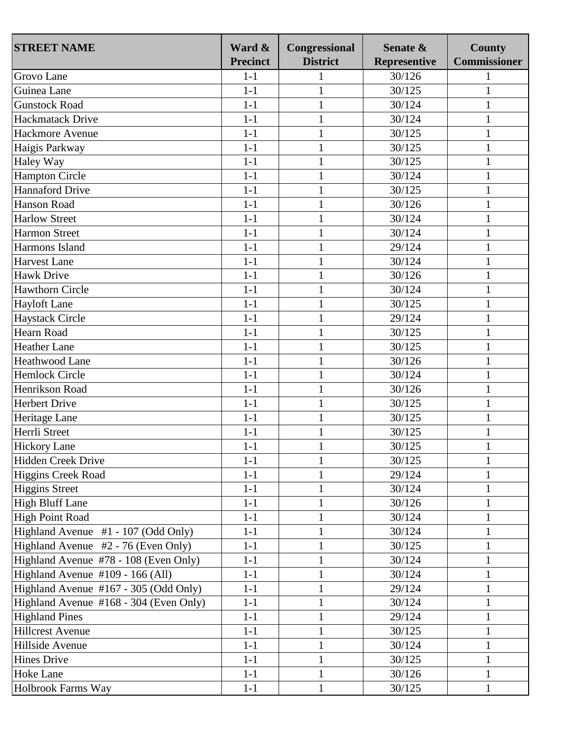| <b>STREET NAME</b>                     | Ward &<br><b>Precinct</b> | Congressional<br><b>District</b> | Senate &<br><b>Representive</b> | <b>County</b><br><b>Commissioner</b> |
|----------------------------------------|---------------------------|----------------------------------|---------------------------------|--------------------------------------|
| Grovo Lane                             | $1-1$                     | $\mathbf{1}$                     | 30/126                          |                                      |
| Guinea Lane                            | $1 - 1$                   | $\mathbf{1}$                     | 30/125                          | 1                                    |
| <b>Gunstock Road</b>                   | $1-1$                     | $\mathbf{1}$                     | 30/124                          | 1                                    |
| <b>Hackmatack Drive</b>                | $1 - 1$                   | $\mathbf{1}$                     | 30/124                          |                                      |
| Hackmore Avenue                        | $1-1$                     |                                  | 30/125                          | 1                                    |
|                                        |                           | $\mathbf{1}$                     |                                 | 1                                    |
| Haigis Parkway                         | $1-1$                     | $\mathbf{1}$                     | 30/125                          |                                      |
| Haley Way                              | $1-1$                     | $\mathbf{1}$                     | 30/125                          | 1                                    |
| <b>Hampton Circle</b>                  | $1-1$                     | $\mathbf{1}$                     | 30/124                          | 1                                    |
| <b>Hannaford Drive</b>                 | $1-1$                     | $\mathbf{1}$                     | 30/125                          | $\mathbf{1}$                         |
| Hanson Road                            | $1-1$                     | $\mathbf{1}$                     | 30/126                          | 1                                    |
| <b>Harlow Street</b>                   | $1-1$                     | $\mathbf{1}$                     | 30/124                          | 1                                    |
| <b>Harmon Street</b>                   | $1-1$                     | $\mathbf{1}$                     | 30/124                          | 1                                    |
| Harmons Island                         | $1-1$                     | $\mathbf{1}$                     | 29/124                          | $\mathbf{1}$                         |
| <b>Harvest Lane</b>                    | $1-1$                     | $\mathbf{1}$                     | 30/124                          | $\mathbf{1}$                         |
| <b>Hawk Drive</b>                      | $1-1$                     | $\mathbf{1}$                     | 30/126                          | 1                                    |
| <b>Hawthorn Circle</b>                 | $1 - 1$                   | $\mathbf{1}$                     | 30/124                          | 1                                    |
| <b>Hayloft Lane</b>                    | $1-1$                     | $\mathbf{1}$                     | 30/125                          | 1                                    |
| <b>Haystack Circle</b>                 | $1-1$                     | $\mathbf{1}$                     | 29/124                          | $\mathbf{1}$                         |
| Hearn Road                             | $1-1$                     | $\mathbf{1}$                     | 30/125                          | 1                                    |
| <b>Heather Lane</b>                    | $1-1$                     | $\mathbf{1}$                     | 30/125                          | $\mathbf{1}$                         |
| Heathwood Lane                         | $1-1$                     | $\mathbf{1}$                     | 30/126                          | 1                                    |
| <b>Hemlock Circle</b>                  | $1-1$                     | $\mathbf{1}$                     | 30/124                          | $\mathbf{1}$                         |
| Henrikson Road                         | $1-1$                     | $\mathbf{1}$                     | 30/126                          | 1                                    |
| <b>Herbert Drive</b>                   | $1 - 1$                   | $\mathbf{1}$                     | 30/125                          |                                      |
| Heritage Lane                          | $1-1$                     | $\mathbf{1}$                     | 30/125                          | 1                                    |
| Herrli Street                          | $1-1$                     | $\mathbf{1}$                     | 30/125                          | $\mathbf{1}$                         |
| <b>Hickory Lane</b>                    | $1-1$                     | $\mathbf{1}$                     | 30/125                          | 1                                    |
| Hidden Creek Drive                     | $1-1$                     | 1                                | 30/125                          | 1                                    |
| Higgins Creek Road                     | $1-1$                     | 1                                | 29/124                          | 1                                    |
| <b>Higgins Street</b>                  | $1-1$                     | $\mathbf{1}$                     | 30/124                          |                                      |
| <b>High Bluff Lane</b>                 | $1-1$                     | $\mathbf{1}$                     | 30/126                          | 1                                    |
| <b>High Point Road</b>                 | $1-1$                     | $\mathbf{1}$                     | 30/124                          | 1                                    |
| Highland Avenue #1 - 107 (Odd Only)    | $1-1$                     | $\mathbf{1}$                     | 30/124                          | 1                                    |
| Highland Avenue #2 - 76 (Even Only)    | $1-1$                     | $\mathbf{1}$                     | 30/125                          | 1                                    |
| Highland Avenue #78 - 108 (Even Only)  | $1-1$                     | $\mathbf{1}$                     | 30/124                          | 1                                    |
| Highland Avenue #109 - 166 (All)       | $1 - 1$                   |                                  | 30/124                          |                                      |
| Highland Avenue #167 - 305 (Odd Only)  | $1-1$                     | $\mathbf{1}$                     | 29/124                          |                                      |
| Highland Avenue #168 - 304 (Even Only) | $1-1$                     | $\mathbf{1}$                     | 30/124                          | 1                                    |
| <b>Highland Pines</b>                  | $1-1$                     | $\mathbf{1}$                     | 29/124                          | $\mathbf{1}$                         |
| <b>Hillcrest Avenue</b>                | $1-1$                     | $\mathbf{1}$                     | 30/125                          | 1                                    |
| Hillside Avenue                        | $1-1$                     | $\mathbf{1}$                     | 30/124                          | 1                                    |
| <b>Hines Drive</b>                     |                           |                                  | 30/125                          |                                      |
|                                        | $1-1$                     | $\mathbf{1}$                     |                                 | 1                                    |
| Hoke Lane                              | $1-1$                     | $\mathbf{1}$                     | 30/126                          |                                      |
| Holbrook Farms Way                     | $1-1$                     | $\mathbf{1}$                     | 30/125                          |                                      |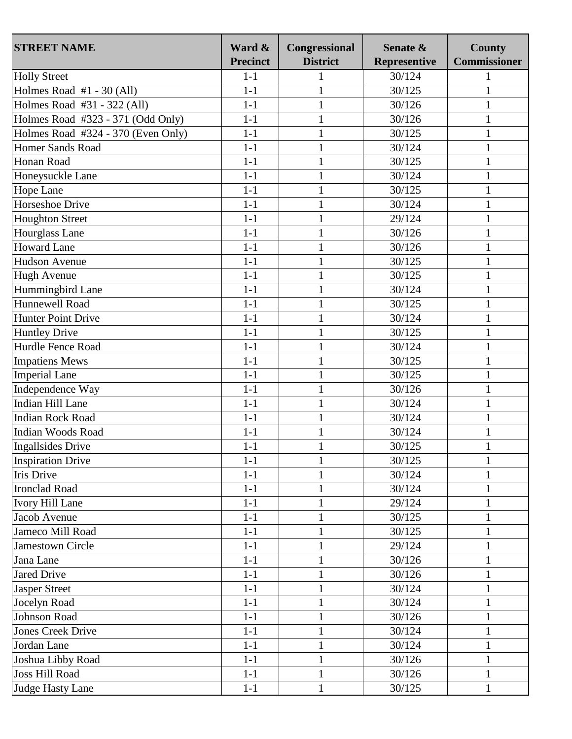| <b>STREET NAME</b>                 | Ward &<br><b>Precinct</b> | Congressional<br><b>District</b> | Senate &<br><b>Representive</b> | <b>County</b><br><b>Commissioner</b> |
|------------------------------------|---------------------------|----------------------------------|---------------------------------|--------------------------------------|
| <b>Holly Street</b>                | $1-1$                     | 1                                | 30/124                          | 1                                    |
| Holmes Road $#1 - 30$ (All)        | $1-1$                     | $\mathbf{1}$                     | 30/125                          | 1                                    |
| Holmes Road #31 - 322 (All)        | $1-1$                     | $\mathbf{1}$                     | 30/126                          | 1                                    |
| Holmes Road #323 - 371 (Odd Only)  | $1-1$                     | $\mathbf{1}$                     | 30/126                          | 1                                    |
| Holmes Road #324 - 370 (Even Only) | $1-1$                     | $\mathbf{1}$                     | 30/125                          | $\mathbf{1}$                         |
| <b>Homer Sands Road</b>            | $1-1$                     | $\mathbf{1}$                     | 30/124                          | $\mathbf{1}$                         |
| Honan Road                         | $1-1$                     | $\mathbf{1}$                     | 30/125                          | $\mathbf{1}$                         |
| Honeysuckle Lane                   | $1-1$                     | $\mathbf{1}$                     | 30/124                          | 1                                    |
| Hope Lane                          | $1-1$                     | $\mathbf{1}$                     | 30/125                          | $\mathbf{1}$                         |
| Horseshoe Drive                    | $1-1$                     | $\mathbf{1}$                     | 30/124                          | 1                                    |
| <b>Houghton Street</b>             | $1-1$                     | $\mathbf{1}$                     | 29/124                          | $\mathbf{1}$                         |
| Hourglass Lane                     | $1-1$                     | $\mathbf{1}$                     | 30/126                          | $\mathbf{1}$                         |
| <b>Howard Lane</b>                 | $1-1$                     | $\mathbf{1}$                     | 30/126                          | $\mathbf{1}$                         |
| <b>Hudson Avenue</b>               | $1-1$                     | $\mathbf{1}$                     | 30/125                          | $\mathbf{1}$                         |
| <b>Hugh Avenue</b>                 | $1-1$                     | $\mathbf{1}$                     | 30/125                          | 1                                    |
| Hummingbird Lane                   | $1-1$                     | $\mathbf{1}$                     | 30/124                          |                                      |
| Hunnewell Road                     | $1-1$                     | $\mathbf{1}$                     | 30/125                          | 1                                    |
| <b>Hunter Point Drive</b>          | $1-1$                     | $\mathbf{1}$                     | 30/124                          | $\mathbf{1}$                         |
| <b>Huntley Drive</b>               | $1-1$                     | $\mathbf{1}$                     | 30/125                          | 1                                    |
| Hurdle Fence Road                  | $1-1$                     | $\mathbf{1}$                     | 30/124                          | $\mathbf{1}$                         |
| <b>Impatiens Mews</b>              | $1-1$                     | $\mathbf{1}$                     | 30/125                          | 1                                    |
| <b>Imperial Lane</b>               | $1-1$                     | $\mathbf{1}$                     | 30/125                          |                                      |
| Independence Way                   | $1-1$                     | $\mathbf{1}$                     | 30/126                          | $\mathbf{1}$                         |
| Indian Hill Lane                   | $1-1$                     | $\mathbf{1}$                     | 30/124                          | $\mathbf{1}$                         |
| <b>Indian Rock Road</b>            | $1-1$                     | $\mathbf{1}$                     | 30/124                          | $\mathbf{1}$                         |
| Indian Woods Road                  | $1-1$                     | $\mathbf{1}$                     | 30/124                          | $\mathbf{1}$                         |
| <b>Ingallsides Drive</b>           | $1-1$                     | $\mathbf{1}$                     | 30/125                          | $\mathbf{1}$                         |
| <b>Inspiration Drive</b>           | $1 - 1$                   | 1                                | 30/125                          | 1                                    |
| Iris Drive                         | $1-1$                     | $\mathbf{1}$                     | 30/124                          | 1                                    |
| <b>Ironclad Road</b>               | $1 - 1$                   | $\mathbf{1}$                     | 30/124                          | 1                                    |
| <b>Ivory Hill Lane</b>             | $1-1$                     | $\mathbf{1}$                     | 29/124                          | $\mathbf{1}$                         |
| Jacob Avenue                       | $1-1$                     | 1                                | 30/125                          | 1                                    |
| Jameco Mill Road                   | $1-1$                     | $\mathbf{1}$                     | 30/125                          | $\mathbf{1}$                         |
| <b>Jamestown Circle</b>            | $1 - 1$                   | $\mathbf{1}$                     | 29/124                          | $\mathbf{1}$                         |
| Jana Lane                          | $1-1$                     | $\mathbf{1}$                     | 30/126                          | $\mathbf{1}$                         |
| <b>Jared Drive</b>                 | $1-1$                     | $\mathbf{1}$                     | 30/126                          | $\mathbf{1}$                         |
| <b>Jasper Street</b>               | $1-1$                     | $\mathbf{1}$                     | 30/124                          | $\mathbf{1}$                         |
| Jocelyn Road                       | $1-1$                     | $\mathbf{1}$                     | 30/124                          | $\mathbf{1}$                         |
| Johnson Road                       | $1-1$                     | $\mathbf{1}$                     | 30/126                          | $\mathbf{1}$                         |
| <b>Jones Creek Drive</b>           | $1-1$                     | $\mathbf{1}$                     | 30/124                          | 1                                    |
| Jordan Lane                        | $1-1$                     | $\mathbf{1}$                     | 30/124                          |                                      |
| Joshua Libby Road                  | $1-1$                     | $\mathbf{1}$                     | 30/126                          | $\mathbf{1}$                         |
| <b>Joss Hill Road</b>              | $1-1$                     | $\mathbf{1}$                     | 30/126                          | 1                                    |
| Judge Hasty Lane                   | $1-1$                     | $\mathbf{1}$                     | 30/125                          | 1                                    |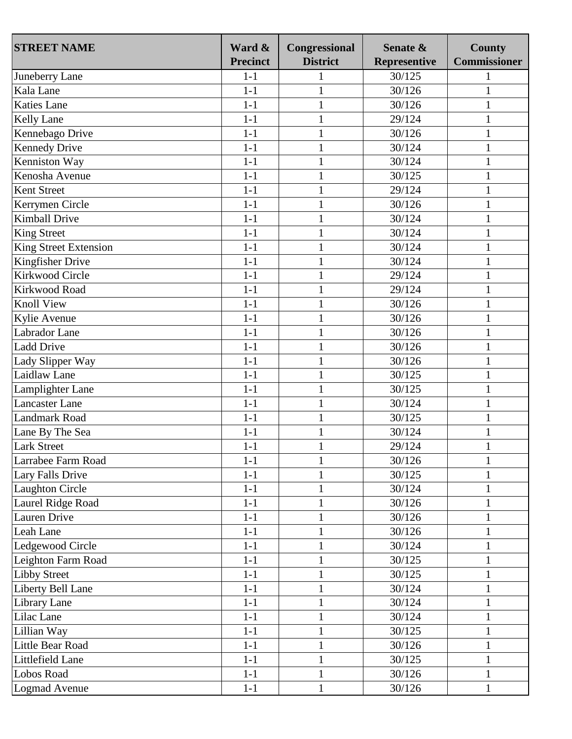| <b>STREET NAME</b>    | Ward &<br><b>Precinct</b> | Congressional<br><b>District</b> | Senate &<br><b>Representive</b> | <b>County</b><br><b>Commissioner</b> |
|-----------------------|---------------------------|----------------------------------|---------------------------------|--------------------------------------|
| Juneberry Lane        | $1-1$                     | 1                                | 30/125                          |                                      |
| Kala Lane             | $1-1$                     | $\mathbf{1}$                     | 30/126                          | 1                                    |
| <b>Katies Lane</b>    | $1-1$                     | $\mathbf{1}$                     | 30/126                          | $\mathbf{1}$                         |
|                       | $1-1$                     |                                  |                                 |                                      |
| Kelly Lane            | $1-1$                     | $\mathbf{1}$                     | 29/124                          | 1                                    |
| Kennebago Drive       |                           | $\mathbf{1}$                     | 30/126                          |                                      |
| <b>Kennedy Drive</b>  | $1-1$                     | $\mathbf{1}$                     | 30/124                          | 1                                    |
| Kenniston Way         | $1-1$                     | $\mathbf{1}$                     | 30/124                          | $\mathbf{1}$                         |
| Kenosha Avenue        | $1-1$                     | $\mathbf{1}$                     | 30/125                          | 1                                    |
| Kent Street           | $1-1$                     | $\mathbf{1}$                     | 29/124                          | $\mathbf{1}$                         |
| Kerrymen Circle       | $1-1$                     | $\mathbf{1}$                     | 30/126                          | 1                                    |
| <b>Kimball Drive</b>  | $1-1$                     | $\mathbf{1}$                     | 30/124                          | 1                                    |
| <b>King Street</b>    | $1-1$                     | $\mathbf{1}$                     | 30/124                          | 1                                    |
| King Street Extension | $1-1$                     | $\mathbf{1}$                     | 30/124                          | $\mathbf{1}$                         |
| Kingfisher Drive      | $1-1$                     | $\mathbf{1}$                     | 30/124                          | $\mathbf{1}$                         |
| Kirkwood Circle       | $1-1$                     | $\mathbf{1}$                     | 29/124                          | 1                                    |
| Kirkwood Road         | $1-1$                     | $\mathbf{1}$                     | 29/124                          | 1                                    |
| <b>Knoll View</b>     | $1-1$                     | $\mathbf{1}$                     | 30/126                          | 1                                    |
| Kylie Avenue          | $1-1$                     | $\mathbf{1}$                     | 30/126                          | 1                                    |
| Labrador Lane         | $1-1$                     | $\mathbf{1}$                     | 30/126                          | 1                                    |
| <b>Ladd Drive</b>     | $1-1$                     | $\mathbf{1}$                     | 30/126                          | 1                                    |
| Lady Slipper Way      | $1-1$                     | $\mathbf{1}$                     | 30/126                          | 1                                    |
| Laidlaw Lane          | $1-1$                     | $\mathbf{1}$                     | 30/125                          | 1                                    |
| Lamplighter Lane      | $1-1$                     | $\mathbf{1}$                     | 30/125                          | 1                                    |
| <b>Lancaster Lane</b> | $1-1$                     | $\mathbf{1}$                     | 30/124                          | $\mathbf{1}$                         |
| <b>Landmark Road</b>  | $1-1$                     | $\mathbf{1}$                     | 30/125                          | $\mathbf{1}$                         |
| Lane By The Sea       | $1-1$                     | $\mathbf{1}$                     | 30/124                          | $\mathbf{1}$                         |
| <b>Lark Street</b>    | $1-1$                     | $\mathbf{1}$                     | 29/124                          | $\mathbf{1}$                         |
| Larrabee Farm Road    | $1-1$                     | 1                                | 30/126                          | 1                                    |
| Lary Falls Drive      | $1-1$                     | 1                                | 30/125                          | 1                                    |
| Laughton Circle       | $1 - 1$                   | $\mathbf{1}$                     | 30/124                          | 1                                    |
| Laurel Ridge Road     | $1-1$                     | $\mathbf{1}$                     | 30/126                          | $\mathbf{1}$                         |
| Lauren Drive          | $1 - 1$                   | $\mathbf{1}$                     | 30/126                          | 1                                    |
| Leah Lane             | $1-1$                     | $\mathbf{1}$                     | 30/126                          | $\mathbf{1}$                         |
| Ledgewood Circle      | $1 - 1$                   | $\mathbf{1}$                     | 30/124                          | 1                                    |
| Leighton Farm Road    | $1-1$                     | $\mathbf{1}$                     | 30/125                          | $\mathbf{1}$                         |
| <b>Libby Street</b>   | $1 - 1$                   |                                  | 30/125                          | 1                                    |
| Liberty Bell Lane     | $1-1$                     | $\mathbf{1}$                     | 30/124                          | $\mathbf{1}$                         |
| Library Lane          | $1-1$                     | $\mathbf{1}$                     | 30/124                          | $\mathbf{1}$                         |
| Lilac Lane            | $1-1$                     | $\mathbf{1}$                     | 30/124                          | $\mathbf{1}$                         |
| Lillian Way           | $1-1$                     | $\mathbf{1}$                     | 30/125                          | $\mathbf{1}$                         |
| Little Bear Road      | $1 - 1$                   | $\mathbf{1}$                     | 30/126                          | $\mathbf 1$                          |
| Littlefield Lane      | $1 - 1$                   | $\mathbf{1}$                     | 30/125                          | 1                                    |
| Lobos Road            | $1-1$                     | $\mathbf{1}$                     | 30/126                          | 1                                    |
| Logmad Avenue         | $1 - 1$                   | $\mathbf{1}$                     | 30/126                          | 1                                    |
|                       |                           |                                  |                                 |                                      |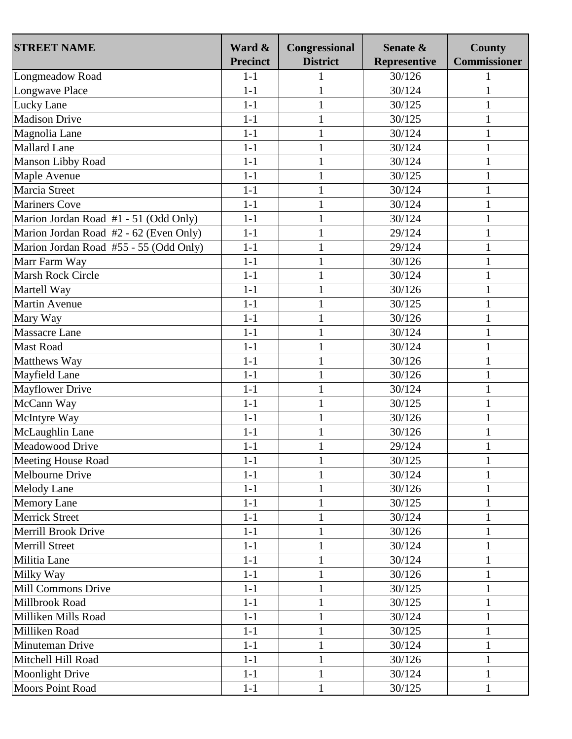| <b>STREET NAME</b>                     | Ward &          | Congressional   | Senate &            | <b>County</b>       |
|----------------------------------------|-----------------|-----------------|---------------------|---------------------|
|                                        | <b>Precinct</b> | <b>District</b> | <b>Representive</b> | <b>Commissioner</b> |
| Longmeadow Road                        | $1 - 1$         |                 | 30/126              |                     |
| Longwave Place                         | $1 - 1$         | $\mathbf{1}$    | 30/124              |                     |
| Lucky Lane                             | $1-1$           | $\mathbf{1}$    | 30/125              | 1                   |
| <b>Madison Drive</b>                   | $1-1$           | $\mathbf{1}$    | 30/125              | 1                   |
| Magnolia Lane                          | $1 - 1$         | $\mathbf{1}$    | 30/124              | 1                   |
| <b>Mallard Lane</b>                    | $1-1$           | $\mathbf{1}$    | 30/124              | 1                   |
| Manson Libby Road                      | $1 - 1$         | $\mathbf{1}$    | 30/124              | $\mathbf{1}$        |
| Maple Avenue                           | $1-1$           | $\mathbf{1}$    | 30/125              | 1                   |
| Marcia Street                          | $1 - 1$         | $\mathbf{1}$    | 30/124              | 1                   |
| <b>Mariners Cove</b>                   | $1-1$           | $\mathbf{1}$    | 30/124              | 1                   |
| Marion Jordan Road #1 - 51 (Odd Only)  | $1 - 1$         | $\mathbf{1}$    | 30/124              | 1                   |
| Marion Jordan Road #2 - 62 (Even Only) | $1-1$           | $\mathbf{1}$    | 29/124              | 1                   |
| Marion Jordan Road #55 - 55 (Odd Only) | $1 - 1$         | $\mathbf{1}$    | 29/124              | 1                   |
| Marr Farm Way                          | $1-1$           | $\mathbf{1}$    | 30/126              | 1                   |
| Marsh Rock Circle                      | $1-1$           | $\mathbf{1}$    | 30/124              | $\mathbf{1}$        |
| Martell Way                            | $1 - 1$         | $\mathbf{1}$    | 30/126              | 1                   |
| <b>Martin Avenue</b>                   | $1-1$           | $\mathbf{1}$    | 30/125              | 1                   |
| Mary Way                               | $1 - 1$         | $\mathbf{1}$    | 30/126              | 1                   |
| Massacre Lane                          | $1-1$           | $\mathbf{1}$    | 30/124              |                     |
| <b>Mast Road</b>                       | $1 - 1$         | $\mathbf{1}$    | 30/124              | $\mathbf{1}$        |
| Matthews Way                           | $1-1$           | $\mathbf{1}$    | 30/126              | 1                   |
| Mayfield Lane                          | $1-1$           | $\mathbf{1}$    | 30/126              | $\mathbf{1}$        |
| <b>Mayflower Drive</b>                 | $1-1$           | $\mathbf{1}$    | 30/124              | 1                   |
| McCann Way                             | $1-1$           | $\mathbf{1}$    | 30/125              | 1                   |
| McIntyre Way                           | $1 - 1$         | $\mathbf{1}$    | 30/126              | 1                   |
| McLaughlin Lane                        | $1-1$           | $\mathbf{1}$    | 30/126              |                     |
| Meadowood Drive                        | $1-1$           | $\mathbf{1}$    | 29/124              | 1                   |
| Meeting House Road                     | $1-1$           | $\mathbf{1}$    | 30/125              | 1                   |
| Melbourne Drive                        | $1 - 1$         | $\mathbf{1}$    | 30/124              | 1                   |
| <b>Melody Lane</b>                     | $1 - 1$         | $\mathbf{1}$    | 30/126              | 1                   |
| <b>Memory Lane</b>                     | $1 - 1$         | $\mathbf{1}$    | 30/125              | $\mathbf{1}$        |
| <b>Merrick Street</b>                  | $1 - 1$         | $\mathbf{1}$    | 30/124              | 1                   |
| Merrill Brook Drive                    | $1-1$           | $\mathbf{1}$    | 30/126              | 1                   |
| <b>Merrill Street</b>                  | $1 - 1$         | $\mathbf{1}$    | 30/124              | 1                   |
| Militia Lane                           | $1-1$           | $\mathbf{1}$    | 30/124              | $\mathbf{1}$        |
| Milky Way                              | $1 - 1$         | $\mathbf{1}$    | 30/126              | 1                   |
| Mill Commons Drive                     | $1 - 1$         | $\mathbf{1}$    | 30/125              | $\mathbf{1}$        |
| Millbrook Road                         | $1 - 1$         | $\mathbf{1}$    | 30/125              | 1                   |
| Milliken Mills Road                    | $1 - 1$         | $\mathbf{1}$    | 30/124              | $\mathbf{1}$        |
| Milliken Road                          | $1 - 1$         |                 |                     |                     |
|                                        | $1-1$           | $\mathbf{1}$    | 30/125              | $\mathbf{1}$        |
| Minuteman Drive                        |                 | $\mathbf{1}$    | 30/124              | $\mathbf{1}$        |
| Mitchell Hill Road                     | $1-1$           | $\mathbf{1}$    | 30/126              | 1                   |
| <b>Moonlight Drive</b>                 | $1-1$           | $\mathbf{1}$    | 30/124              | 1                   |
| Moors Point Road                       | $1 - 1$         | $\mathbf{1}$    | 30/125              |                     |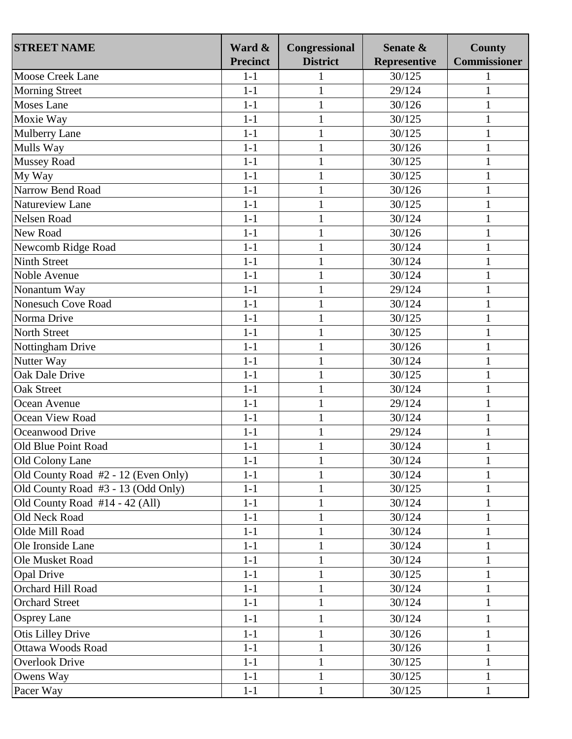| <b>STREET NAME</b>                  | Ward &<br><b>Precinct</b> | Congressional<br><b>District</b> | Senate &<br><b>Representive</b> | <b>County</b><br><b>Commissioner</b> |
|-------------------------------------|---------------------------|----------------------------------|---------------------------------|--------------------------------------|
| <b>Moose Creek Lane</b>             | $1-1$                     |                                  | 30/125                          |                                      |
| <b>Morning Street</b>               | $1 - 1$                   | $\mathbf{1}$                     | 29/124                          |                                      |
| <b>Moses Lane</b>                   | $1-1$                     | $\mathbf{1}$                     | 30/126                          | 1                                    |
| Moxie Way                           | $1 - 1$                   | $\mathbf{1}$                     | 30/125                          | 1                                    |
| <b>Mulberry Lane</b>                | $1 - 1$                   | $\mathbf{1}$                     | 30/125                          | 1                                    |
| Mulls Way                           | $1-1$                     | $\mathbf{1}$                     | 30/126                          | 1                                    |
| <b>Mussey Road</b>                  | $1 - 1$                   | $\mathbf{1}$                     | 30/125                          | $\mathbf{1}$                         |
| My Way                              | $1-1$                     | $\mathbf{1}$                     | 30/125                          | 1                                    |
| Narrow Bend Road                    | $1-1$                     | $\mathbf{1}$                     | 30/126                          | 1                                    |
| Natureview Lane                     | $1-1$                     | $\mathbf{1}$                     | 30/125                          | 1                                    |
| Nelsen Road                         | $1 - 1$                   | $\mathbf{1}$                     | 30/124                          | 1                                    |
| New Road                            | $1-1$                     | $\mathbf{1}$                     | 30/126                          | 1                                    |
| Newcomb Ridge Road                  | $1 - 1$                   | $\mathbf{1}$                     | 30/124                          |                                      |
| <b>Ninth Street</b>                 | $1-1$                     | $\mathbf{1}$                     | 30/124                          | 1                                    |
| Noble Avenue                        | $1-1$                     | $\mathbf{1}$                     | 30/124                          | 1                                    |
| Nonantum Way                        | $1-1$                     | $\mathbf{1}$                     | 29/124                          | 1                                    |
| <b>Nonesuch Cove Road</b>           | $1 - 1$                   | $\mathbf{1}$                     | 30/124                          |                                      |
| Norma Drive                         | $1 - 1$                   | $\mathbf{1}$                     | 30/125                          |                                      |
| North Street                        | $1-1$                     | $\mathbf{1}$                     | 30/125                          |                                      |
| Nottingham Drive                    | $1-1$                     | $\mathbf{1}$                     | 30/126                          | 1                                    |
| Nutter Way                          | $1-1$                     | $\mathbf{1}$                     | 30/124                          | 1                                    |
| Oak Dale Drive                      | $1 - 1$                   | $\mathbf{1}$                     | 30/125                          | $\mathbf{1}$                         |
| <b>Oak Street</b>                   | $1-1$                     | $\mathbf{1}$                     | 30/124                          |                                      |
| Ocean Avenue                        | $1-1$                     | $\mathbf{1}$                     | 29/124                          | 1                                    |
| Ocean View Road                     | $1 - 1$                   | $\mathbf{1}$                     | 30/124                          |                                      |
| Oceanwood Drive                     | $1-1$                     | $\mathbf{1}$                     | 29/124                          |                                      |
| Old Blue Point Road                 | $1-1$                     | $\mathbf{1}$                     | 30/124                          | 1                                    |
| Old Colony Lane                     | $1-1$                     | $\mathbf{1}$                     | 30/124                          | 1                                    |
| Old County Road #2 - 12 (Even Only) | $1 - 1$                   | 1                                | 30/124                          |                                      |
| Old County Road #3 - 13 (Odd Only)  | $1-1$                     | $\mathbf{1}$                     | 30/125                          | 1                                    |
| Old County Road #14 - 42 (All)      | $1-1$                     | $\mathbf{1}$                     | 30/124                          | 1                                    |
| Old Neck Road                       | $1-1$                     | $\mathbf{1}$                     | 30/124                          | 1                                    |
| Olde Mill Road                      | $1 - 1$                   | $\mathbf{1}$                     | 30/124                          | 1                                    |
| Ole Ironside Lane                   | $1 - 1$                   | $\mathbf{1}$                     | 30/124                          | 1                                    |
| Ole Musket Road                     | $1-1$                     | $\mathbf{1}$                     | 30/124                          | $\mathbf{1}$                         |
| <b>Opal Drive</b>                   | $1-1$                     | 1                                | 30/125                          | 1                                    |
| Orchard Hill Road                   | $1 - 1$                   | $\mathbf{1}$                     | 30/124                          | $\mathbf{1}$                         |
| <b>Orchard Street</b>               | $1 - 1$                   | $\mathbf{1}$                     | 30/124                          | 1                                    |
| <b>Osprey Lane</b>                  | $1 - 1$                   | $\mathbf{1}$                     | 30/124                          | 1                                    |
| <b>Otis Lilley Drive</b>            | $1-1$                     | $\mathbf{1}$                     | 30/126                          | $\mathbf{1}$                         |
| Ottawa Woods Road                   | $1-1$                     | $\mathbf{1}$                     | 30/126                          | $\mathbf{1}$                         |
| <b>Overlook Drive</b>               | $1-1$                     | $\mathbf{1}$                     | 30/125                          | 1                                    |
| Owens Way                           | $1-1$                     | $\mathbf{1}$                     | 30/125                          | $\mathbf 1$                          |
| Pacer Way                           | $1-1$                     | 1                                | 30/125                          |                                      |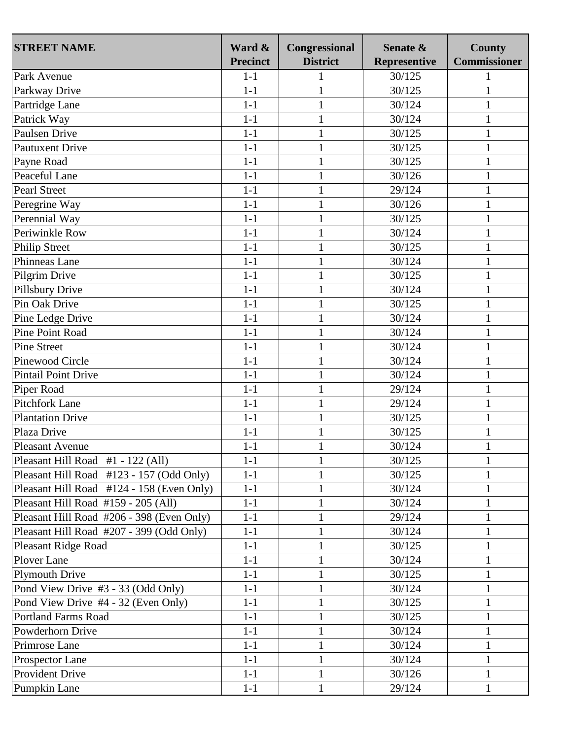| <b>STREET NAME</b>                        | Ward &          | Congressional   | Senate &            | <b>County</b>       |
|-------------------------------------------|-----------------|-----------------|---------------------|---------------------|
|                                           | <b>Precinct</b> | <b>District</b> | <b>Representive</b> | <b>Commissioner</b> |
| Park Avenue                               | $1-1$           | 1               | 30/125              |                     |
| Parkway Drive                             | $1 - 1$         | $\mathbf{1}$    | 30/125              | 1                   |
| Partridge Lane                            | $1-1$           | $\mathbf{1}$    | 30/124              | 1                   |
| Patrick Way                               | $1-1$           | $\mathbf{1}$    | 30/124              | 1                   |
| Paulsen Drive                             | $1-1$           | $\mathbf{1}$    | 30/125              | 1                   |
| <b>Pautuxent Drive</b>                    | $1-1$           | $\mathbf{1}$    | 30/125              |                     |
| Payne Road                                | $1-1$           | $\mathbf{1}$    | 30/125              | 1                   |
| Peaceful Lane                             | $1-1$           | $\mathbf{1}$    | 30/126              | 1                   |
| <b>Pearl Street</b>                       | $1-1$           | $\mathbf{1}$    | 29/124              | $\mathbf{1}$        |
| Peregrine Way                             | $1-1$           | $\mathbf{1}$    | 30/126              | 1                   |
| Perennial Way                             | $1-1$           | $\mathbf{1}$    | 30/125              | $\mathbf 1$         |
| Periwinkle Row                            | $1-1$           | $\mathbf{1}$    | 30/124              | 1                   |
| <b>Philip Street</b>                      | $1-1$           | $\mathbf{1}$    | 30/125              | $\mathbf{1}$        |
| Phinneas Lane                             | $1-1$           | $\mathbf{1}$    | 30/124              | $\mathbf{1}$        |
| Pilgrim Drive                             | $1-1$           | $\mathbf{1}$    | 30/125              | 1                   |
| Pillsbury Drive                           | $1-1$           | $\mathbf{1}$    | 30/124              |                     |
| Pin Oak Drive                             | $1-1$           | $\mathbf{1}$    | 30/125              | 1                   |
| Pine Ledge Drive                          | $1-1$           | $\mathbf{1}$    | 30/124              | $\mathbf{1}$        |
| <b>Pine Point Road</b>                    | $1-1$           | $\mathbf{1}$    | 30/124              | 1                   |
| <b>Pine Street</b>                        | $1-1$           | $\mathbf{1}$    | 30/124              | $\mathbf{1}$        |
| <b>Pinewood Circle</b>                    | $1-1$           | $\mathbf{1}$    | 30/124              | 1                   |
| <b>Pintail Point Drive</b>                | $1-1$           | $\mathbf{1}$    | 30/124              | $\mathbf{1}$        |
| Piper Road                                | $1-1$           | $\mathbf{1}$    | 29/124              | 1                   |
| <b>Pitchfork Lane</b>                     | $1-1$           | $\mathbf{1}$    | 29/124              |                     |
| <b>Plantation Drive</b>                   | $1-1$           | $\mathbf{1}$    | 30/125              | 1                   |
| Plaza Drive                               | $1-1$           | $\mathbf{1}$    | 30/125              | $\mathbf{1}$        |
| <b>Pleasant Avenue</b>                    | $1-1$           | $\mathbf{1}$    | 30/124              | 1                   |
| Pleasant Hill Road #1 - 122 (All)         | $1-1$           | $\mathbf{1}$    | 30/125              | $\mathbf 1$         |
| Pleasant Hill Road #123 - 157 (Odd Only)  | $1-1$           | 1               | 30/125              | 1                   |
| Pleasant Hill Road #124 - 158 (Even Only) | $1-1$           | $\mathbf{1}$    | 30/124              |                     |
| Pleasant Hill Road #159 - 205 (All)       | $1-1$           | $\mathbf{1}$    | 30/124              | 1                   |
| Pleasant Hill Road #206 - 398 (Even Only) | $1-1$           | $\mathbf{1}$    | 29/124              | $\mathbf 1$         |
| Pleasant Hill Road #207 - 399 (Odd Only)  | $1-1$           | $\mathbf{1}$    | 30/124              | $\mathbf{1}$        |
| <b>Pleasant Ridge Road</b>                | $1-1$           | $\mathbf{1}$    | 30/125              | 1                   |
| Plover Lane                               | $1-1$           | $\mathbf{1}$    | 30/124              | 1                   |
| <b>Plymouth Drive</b>                     | $1-1$           | 1               | 30/125              |                     |
| Pond View Drive #3 - 33 (Odd Only)        | $1-1$           | $\mathbf{1}$    | 30/124              | $\mathbf{1}$        |
| Pond View Drive #4 - 32 (Even Only)       | $1-1$           | $\mathbf{1}$    | 30/125              | $\mathbf{1}$        |
| <b>Portland Farms Road</b>                | $1-1$           | $\mathbf{1}$    | 30/125              | $\mathbf{1}$        |
| Powderhorn Drive                          | $1-1$           |                 |                     |                     |
|                                           |                 | $\mathbf{1}$    | 30/124              | $\mathbf 1$         |
| Primrose Lane                             | $1-1$           | $\mathbf{1}$    | 30/124              | 1                   |
| Prospector Lane                           | $1-1$           | $\mathbf{1}$    | 30/124              | 1                   |
| Provident Drive                           | $1 - 1$         | $\mathbf{1}$    | 30/126              | 1                   |
| Pumpkin Lane                              | $1-1$           | 1               | 29/124              | 1                   |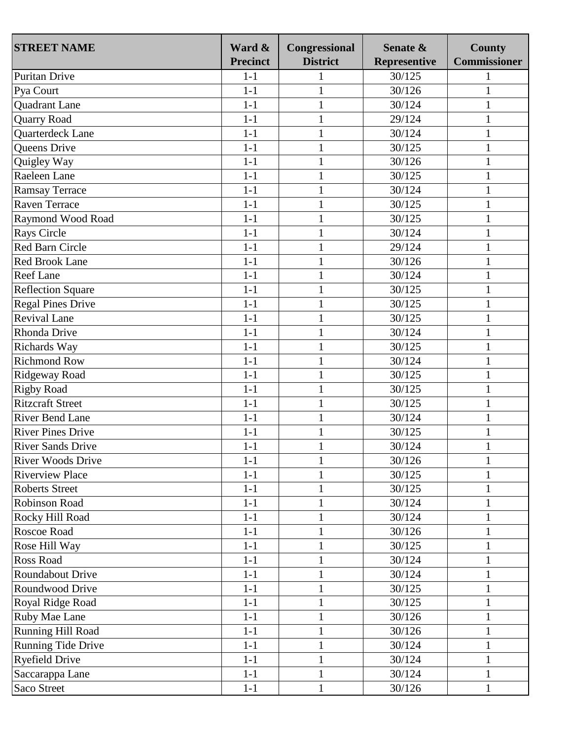| <b>STREET NAME</b>       | Ward &          | Congressional   | Senate &            | <b>County</b>       |
|--------------------------|-----------------|-----------------|---------------------|---------------------|
|                          | <b>Precinct</b> | <b>District</b> | <b>Representive</b> | <b>Commissioner</b> |
| Puritan Drive            | $1-1$           | 1               | 30/125              |                     |
| Pya Court                | $1 - 1$         | $\mathbf{1}$    | 30/126              | 1                   |
| <b>Quadrant Lane</b>     | $1 - 1$         | $\mathbf{1}$    | 30/124              | 1                   |
| <b>Quarry Road</b>       | $1 - 1$         | $\mathbf{1}$    | 29/124              | 1                   |
| Quarterdeck Lane         | $1-1$           | $\mathbf{1}$    | 30/124              |                     |
| Queens Drive             | $1 - 1$         | $\mathbf{1}$    | 30/125              |                     |
| Quigley Way              | $1-1$           | $\mathbf{1}$    | 30/126              | 1                   |
| Raeleen Lane             | $1-1$           | $\mathbf{1}$    | 30/125              |                     |
| Ramsay Terrace           | $1-1$           | $\mathbf{1}$    | 30/124              | $\mathbf{1}$        |
| Raven Terrace            | $1-1$           | $\mathbf{1}$    | 30/125              | 1                   |
| Raymond Wood Road        | $1-1$           | $\mathbf{1}$    | 30/125              | $\mathbf 1$         |
| <b>Rays Circle</b>       | $1-1$           | $\mathbf{1}$    | 30/124              | 1                   |
| <b>Red Barn Circle</b>   | $1-1$           | $\mathbf{1}$    | 29/124              | $\mathbf{1}$        |
| <b>Red Brook Lane</b>    | $1-1$           | $\mathbf{1}$    | 30/126              | $\mathbf{1}$        |
| <b>Reef Lane</b>         | $1-1$           | $\mathbf{1}$    | 30/124              | 1                   |
| <b>Reflection Square</b> | $1-1$           | $\mathbf{1}$    | 30/125              | 1                   |
| <b>Regal Pines Drive</b> | $1-1$           | $\mathbf{1}$    | 30/125              | 1                   |
| <b>Revival Lane</b>      | $1 - 1$         | $\mathbf{1}$    | 30/125              | 1                   |
| Rhonda Drive             | $1-1$           | $\mathbf{1}$    | 30/124              | 1                   |
| Richards Way             | $1-1$           | $\mathbf{1}$    | 30/125              | 1                   |
| <b>Richmond Row</b>      | $1-1$           | $\mathbf{1}$    | 30/124              | 1                   |
| Ridgeway Road            | $1-1$           | $\mathbf{1}$    | 30/125              | $\mathbf{1}$        |
| <b>Rigby Road</b>        | $1-1$           | $\mathbf{1}$    | 30/125              | 1                   |
| <b>Ritzcraft Street</b>  | $1 - 1$         | $\mathbf{1}$    | 30/125              |                     |
| <b>River Bend Lane</b>   | $1-1$           | $\mathbf{1}$    | 30/124              | 1                   |
| <b>River Pines Drive</b> | $1-1$           | $\mathbf{1}$    | 30/125              | $\mathbf{1}$        |
| <b>River Sands Drive</b> | $1 - 1$         | $\mathbf{1}$    | 30/124              | 1                   |
| <b>River Woods Drive</b> | $1-1$           | 1               | 30/126              | 1                   |
| <b>Riverview Place</b>   | $1-1$           | 1               | 30/125              | 1                   |
| <b>Roberts Street</b>    | $1 - 1$         | $\mathbf{1}$    | 30/125              |                     |
| Robinson Road            | $1-1$           | $\mathbf{1}$    | 30/124              | $\mathbf{1}$        |
| Rocky Hill Road          | $1 - 1$         | $\mathbf{1}$    | 30/124              | 1                   |
| Roscoe Road              | $1-1$           | $\mathbf{1}$    | 30/126              | $\mathbf{1}$        |
| Rose Hill Way            | $1 - 1$         | $\mathbf{1}$    | 30/125              | 1                   |
| <b>Ross Road</b>         | $1 - 1$         | $\mathbf{1}$    | 30/124              | $\mathbf{1}$        |
| <b>Roundabout Drive</b>  | $1 - 1$         | 1               | 30/124              |                     |
| Roundwood Drive          | $1-1$           | $\mathbf{1}$    | 30/125              | $\mathbf{1}$        |
| Royal Ridge Road         | $1 - 1$         | $\mathbf{1}$    | 30/125              | 1                   |
| <b>Ruby Mae Lane</b>     | $1-1$           | $\mathbf{1}$    | 30/126              | $\mathbf{1}$        |
| Running Hill Road        | $1 - 1$         | $\mathbf{1}$    | 30/126              | $\mathbf{1}$        |
| Running Tide Drive       | $1-1$           | $\mathbf{1}$    | 30/124              | 1                   |
| <b>Ryefield Drive</b>    | $1 - 1$         | $\mathbf{1}$    | 30/124              | $\mathbf{1}$        |
| Saccarappa Lane          | $1-1$           | $\mathbf{1}$    | 30/124              | 1                   |
| Saco Street              | $1-1$           | $\mathbf{1}$    | 30/126              |                     |
|                          |                 |                 |                     | 1                   |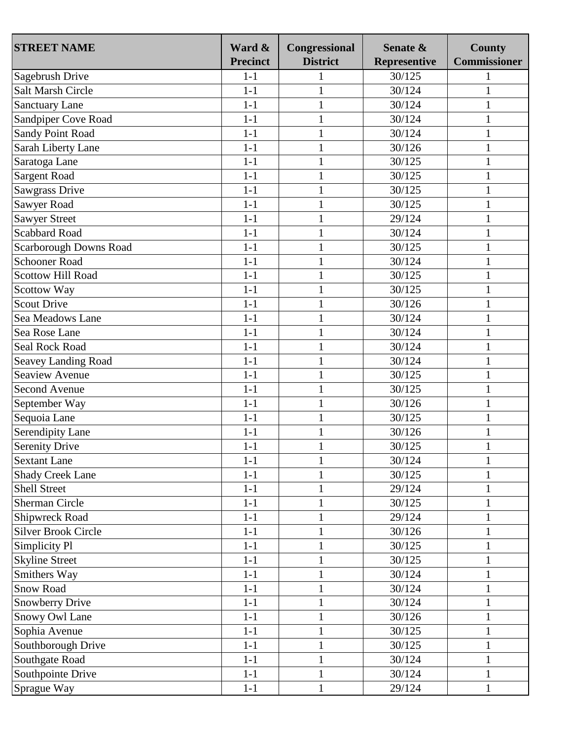| <b>STREET NAME</b>         | Ward &<br><b>Precinct</b> | Congressional<br><b>District</b> | Senate &<br><b>Representive</b> | <b>County</b><br><b>Commissioner</b> |
|----------------------------|---------------------------|----------------------------------|---------------------------------|--------------------------------------|
| Sagebrush Drive            | $1-1$                     | 1                                | 30/125                          |                                      |
| <b>Salt Marsh Circle</b>   | $1 - 1$                   | $\mathbf{1}$                     | 30/124                          | 1                                    |
| <b>Sanctuary Lane</b>      | $1-1$                     | $\mathbf{1}$                     | 30/124                          | 1                                    |
| Sandpiper Cove Road        | $1 - 1$                   | $\mathbf{1}$                     | 30/124                          | 1                                    |
| Sandy Point Road           | $1-1$                     | $\mathbf{1}$                     | 30/124                          |                                      |
| Sarah Liberty Lane         | $1 - 1$                   | $\mathbf{1}$                     | 30/126                          |                                      |
|                            | $1-1$                     | $\mathbf{1}$                     | 30/125                          |                                      |
| Saratoga Lane              |                           |                                  |                                 | 1                                    |
| Sargent Road               | $1-1$                     | $\mathbf{1}$                     | 30/125                          |                                      |
| Sawgrass Drive             | $1-1$                     | $\mathbf{1}$                     | 30/125                          | 1                                    |
| Sawyer Road                | $1-1$                     | $\mathbf{1}$                     | 30/125                          | 1                                    |
| <b>Sawyer Street</b>       | $1-1$                     | $\mathbf{1}$                     | 29/124                          |                                      |
| Scabbard Road              | $1-1$                     | $\mathbf{1}$                     | 30/124                          | 1                                    |
| Scarborough Downs Road     | $1-1$                     | $\mathbf{1}$                     | 30/125                          | 1                                    |
| <b>Schooner Road</b>       | $1-1$                     | $\mathbf{1}$                     | 30/124                          | 1                                    |
| <b>Scottow Hill Road</b>   | $1 - 1$                   | $\mathbf{1}$                     | 30/125                          | 1                                    |
| <b>Scottow Way</b>         | $1-1$                     | $\mathbf{1}$                     | 30/125                          |                                      |
| <b>Scout Drive</b>         | $1-1$                     | $\mathbf{1}$                     | 30/126                          | 1                                    |
| Sea Meadows Lane           | $1 - 1$                   | $\mathbf{1}$                     | 30/124                          | 1                                    |
| Sea Rose Lane              | $1-1$                     | $\mathbf{1}$                     | 30/124                          | 1                                    |
| <b>Seal Rock Road</b>      | $1-1$                     | $\mathbf{1}$                     | 30/124                          | 1                                    |
| <b>Seavey Landing Road</b> | $1-1$                     | $\mathbf{1}$                     | 30/124                          | 1                                    |
| Seaview Avenue             | $1-1$                     | $\mathbf{1}$                     | 30/125                          | 1                                    |
| <b>Second Avenue</b>       | $1-1$                     | $\mathbf{1}$                     | 30/125                          | 1                                    |
| September Way              | $1 - 1$                   | $\mathbf{1}$                     | 30/126                          |                                      |
| Sequoia Lane               | $1-1$                     | $\mathbf{1}$                     | 30/125                          | 1                                    |
| Serendipity Lane           | $1-1$                     | $\mathbf{1}$                     | 30/126                          | 1                                    |
| <b>Serenity Drive</b>      | $1-1$                     | $\mathbf{1}$                     | 30/125                          | 1                                    |
| <b>Sextant Lane</b>        | $1-1$                     | $\mathbf{1}$                     | 30/124                          | 1                                    |
| <b>Shady Creek Lane</b>    | $1 - 1$                   | 1                                | 30/125                          | 1                                    |
| <b>Shell Street</b>        | $1 - 1$                   | $\mathbf{1}$                     | 29/124                          |                                      |
| Sherman Circle             | $1 - 1$                   | $\mathbf{1}$                     | 30/125                          | $\mathbf{1}$                         |
| <b>Shipwreck Road</b>      | $1 - 1$                   | $\mathbf{1}$                     | 29/124                          | 1                                    |
| <b>Silver Brook Circle</b> | $1-1$                     | $\mathbf{1}$                     | 30/126                          | $\mathbf{1}$                         |
| Simplicity Pl              | $1 - 1$                   | $\mathbf{1}$                     | 30/125                          | 1                                    |
| <b>Skyline Street</b>      | $1 - 1$                   | $\mathbf{1}$                     | 30/125                          | $\mathbf{1}$                         |
| Smithers Way               | $1 - 1$                   | 1                                | 30/124                          |                                      |
| <b>Snow Road</b>           | $1-1$                     | $\mathbf{1}$                     | 30/124                          | $\mathbf{1}$                         |
| <b>Snowberry Drive</b>     | $1 - 1$                   | $\mathbf{1}$                     | 30/124                          | 1                                    |
| Snowy Owl Lane             | $1-1$                     | $\mathbf{1}$                     | 30/126                          | $\mathbf{1}$                         |
| Sophia Avenue              | $1 - 1$                   | $\mathbf{1}$                     | 30/125                          | $\mathbf{1}$                         |
| Southborough Drive         | $1-1$                     | $\mathbf{1}$                     | 30/125                          | 1                                    |
| Southgate Road             | $1 - 1$                   | $\mathbf{1}$                     | 30/124                          | $\mathbf{1}$                         |
|                            | $1-1$                     | $\mathbf{1}$                     | 30/124                          |                                      |
| Southpointe Drive          |                           |                                  |                                 |                                      |
| Sprague Way                | $1-1$                     | $\mathbf{1}$                     | 29/124                          |                                      |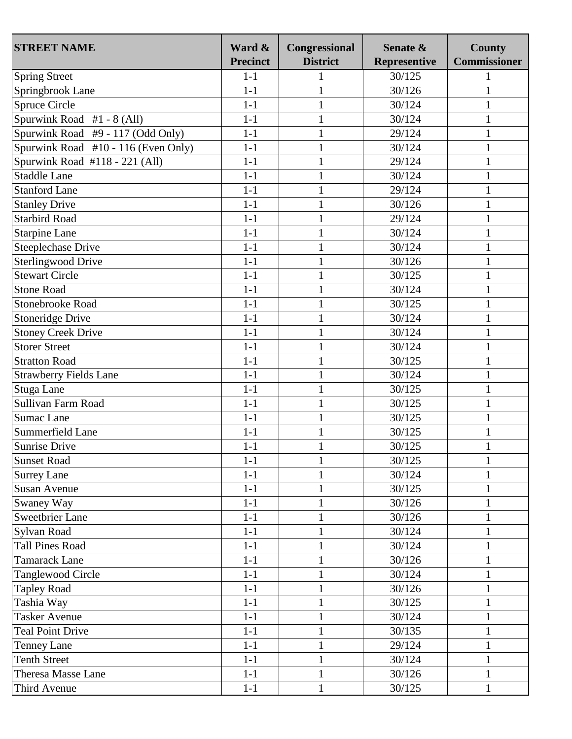| <b>STREET NAME</b>                  | Ward &<br><b>Precinct</b> | Congressional<br><b>District</b> | Senate &<br><b>Representive</b> | <b>County</b><br><b>Commissioner</b> |
|-------------------------------------|---------------------------|----------------------------------|---------------------------------|--------------------------------------|
| <b>Spring Street</b>                | $1 - 1$                   | $\mathbf{1}$                     | 30/125                          |                                      |
| Springbrook Lane                    | $1 - 1$                   | $\mathbf{1}$                     | 30/126                          | $\mathbf{1}$                         |
| <b>Spruce Circle</b>                | $1 - 1$                   | $\mathbf{1}$                     | 30/124                          | 1                                    |
| Spurwink Road $#1 - 8$ (All)        | $1 - 1$                   | $\mathbf{1}$                     | 30/124                          | 1                                    |
| Spurwink Road #9 - 117 (Odd Only)   | $1 - 1$                   | $\mathbf{1}$                     | 29/124                          | 1                                    |
| Spurwink Road #10 - 116 (Even Only) | $1 - 1$                   | $\mathbf{1}$                     | 30/124                          |                                      |
| Spurwink Road #118 - 221 (All)      | $1-1$                     | $\mathbf{1}$                     | 29/124                          | $\mathbf{1}$                         |
| <b>Staddle Lane</b>                 | $1-1$                     | $\mathbf{1}$                     | 30/124                          |                                      |
| <b>Stanford Lane</b>                | $1-1$                     | $\mathbf{1}$                     | 29/124                          | $\mathbf{1}$                         |
| <b>Stanley Drive</b>                | $1-1$                     | $\mathbf{1}$                     | 30/126                          | 1                                    |
| <b>Starbird Road</b>                | $1-1$                     | $\mathbf{1}$                     | 29/124                          | 1                                    |
| <b>Starpine Lane</b>                | $1-1$                     | $\mathbf{1}$                     | 30/124                          | 1                                    |
| <b>Steeplechase Drive</b>           | $1-1$                     | $\mathbf{1}$                     | 30/124                          | $\mathbf{1}$                         |
| <b>Sterlingwood Drive</b>           | $1-1$                     | $\mathbf{1}$                     | 30/126                          | $\mathbf{1}$                         |
| <b>Stewart Circle</b>               | $1 - 1$                   | $\mathbf{1}$                     | 30/125                          | 1                                    |
| <b>Stone Road</b>                   | $1 - 1$                   |                                  | 30/124                          |                                      |
| <b>Stonebrooke Road</b>             | $1-1$                     | $\mathbf{1}$                     |                                 | 1                                    |
|                                     | $1 - 1$                   | $\mathbf{1}$                     | 30/125<br>30/124                | 1                                    |
| Stoneridge Drive                    |                           | $\mathbf{1}$                     |                                 | $\mathbf{1}$                         |
| <b>Stoney Creek Drive</b>           | $1-1$                     | $\mathbf{1}$                     | 30/124                          | 1                                    |
| <b>Storer Street</b>                | $1-1$                     | $\mathbf{1}$                     | 30/124                          | $\mathbf{1}$                         |
| <b>Stratton Road</b>                | $1-1$                     | $\mathbf{1}$                     | 30/125                          | 1                                    |
| <b>Strawberry Fields Lane</b>       | $1 - 1$                   | $\mathbf{1}$                     | 30/124                          | $\mathbf{1}$                         |
| <b>Stuga Lane</b>                   | $1 - 1$                   | $\mathbf{1}$                     | 30/125                          | 1                                    |
| Sullivan Farm Road                  | $1 - 1$                   | $\mathbf{1}$                     | 30/125                          |                                      |
| <b>Sumac Lane</b>                   | $1-1$                     | $\mathbf{1}$                     | 30/125                          | 1                                    |
| Summerfield Lane                    | $1 - 1$                   | $\mathbf{1}$                     | 30/125                          | $\mathbf{1}$                         |
| Sunrise Drive                       | $1 - 1$                   | $\mathbf{1}$                     | 30/125                          | 1                                    |
| <b>Sunset Road</b>                  | $1-1$                     | 1                                | 30/125                          | 1                                    |
| <b>Surrey Lane</b>                  | $1-1$                     | 1                                | 30/124                          | 1                                    |
| <b>Susan Avenue</b>                 | $1 - 1$                   | $\mathbf{1}$                     | 30/125                          | 1                                    |
| Swaney Way                          | $1-1$                     | $\mathbf{1}$                     | 30/126                          | $\mathbf{1}$                         |
| <b>Sweetbrier Lane</b>              | $1 - 1$                   | $\mathbf{1}$                     | 30/126                          | 1                                    |
| Sylvan Road                         | $1-1$                     | $\mathbf{1}$                     | 30/124                          | $\mathbf{1}$                         |
| <b>Tall Pines Road</b>              | $1-1$                     | $\mathbf{1}$                     | 30/124                          | 1                                    |
| <b>Tamarack Lane</b>                | $1-1$                     | $\mathbf{1}$                     | 30/126                          | $\mathbf{1}$                         |
| Tanglewood Circle                   | $1 - 1$                   | $\mathbf{1}$                     | 30/124                          |                                      |
| <b>Tapley Road</b>                  | $1-1$                     | $\mathbf{1}$                     | 30/126                          | $\mathbf{1}$                         |
| Tashia Way                          | $1 - 1$                   | $\mathbf{1}$                     | 30/125                          | $\mathbf{1}$                         |
| <b>Tasker Avenue</b>                | $1-1$                     | $\mathbf{1}$                     | 30/124                          | $\mathbf{1}$                         |
| <b>Teal Point Drive</b>             | $1-1$                     | $\mathbf{1}$                     | 30/135                          | $\mathbf{1}$                         |
| <b>Tenney Lane</b>                  | $1-1$                     | $\mathbf{1}$                     | 29/124                          | 1                                    |
| <b>Tenth Street</b>                 | $1 - 1$                   | $\mathbf{1}$                     | 30/124                          | $\mathbf{1}$                         |
| Theresa Masse Lane                  | $1-1$                     | $\mathbf{1}$                     | 30/126                          | 1                                    |
| Third Avenue                        | $1-1$                     | $\mathbf{1}$                     | 30/125                          | 1                                    |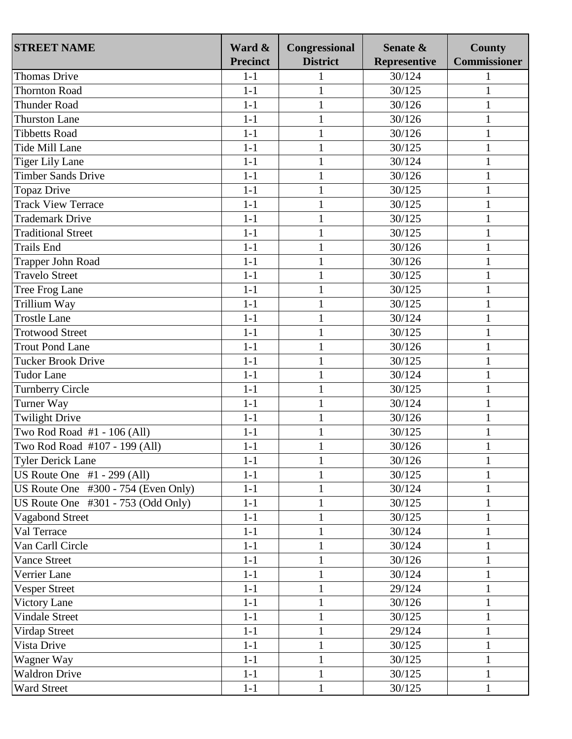| <b>STREET NAME</b>                    | Ward &          | Congressional   | Senate &     | <b>County</b>       |
|---------------------------------------|-----------------|-----------------|--------------|---------------------|
|                                       | <b>Precinct</b> | <b>District</b> | Representive | <b>Commissioner</b> |
| <b>Thomas Drive</b>                   | $1-1$           | 1               | 30/124       |                     |
| <b>Thornton Road</b>                  | $1 - 1$         | $\mathbf{1}$    | 30/125       | $\mathbf{1}$        |
| <b>Thunder Road</b>                   | $1-1$           | $\mathbf{1}$    | 30/126       | $\mathbf{1}$        |
| <b>Thurston Lane</b>                  | $1-1$           | $\mathbf{1}$    | 30/126       | 1                   |
| <b>Tibbetts Road</b>                  | $1-1$           | $\mathbf{1}$    | 30/126       | 1                   |
| Tide Mill Lane                        | $1-1$           | $\mathbf{1}$    | 30/125       |                     |
| <b>Tiger Lily Lane</b>                | $1-1$           | $\mathbf{1}$    | 30/124       | $\mathbf{1}$        |
| <b>Timber Sands Drive</b>             | $1-1$           | $\mathbf{1}$    | 30/126       | 1                   |
| Topaz Drive                           | $1-1$           | $\mathbf{1}$    | 30/125       | $\mathbf{1}$        |
| <b>Track View Terrace</b>             | $1-1$           | $\mathbf{1}$    | 30/125       | 1                   |
| <b>Trademark Drive</b>                | $1-1$           | $\mathbf{1}$    | 30/125       | $\mathbf{1}$        |
| <b>Traditional Street</b>             | $1-1$           | $\mathbf{1}$    | 30/125       | $\mathbf{1}$        |
| <b>Trails End</b>                     | $1-1$           | $\mathbf{1}$    | 30/126       | $\mathbf{1}$        |
| <b>Trapper John Road</b>              | $1-1$           | $\mathbf{1}$    | 30/126       | $\mathbf{1}$        |
| <b>Travelo Street</b>                 | $1-1$           | $\mathbf{1}$    | 30/125       | 1                   |
| Tree Frog Lane                        | $1-1$           | $\mathbf{1}$    | 30/125       | 1                   |
| Trillium Way                          | $1-1$           | $\mathbf{1}$    | 30/125       | 1                   |
| <b>Trostle Lane</b>                   | $1-1$           | $\mathbf{1}$    | 30/124       | $\mathbf{1}$        |
| <b>Trotwood Street</b>                | $1-1$           | $\mathbf{1}$    | 30/125       | 1                   |
| <b>Trout Pond Lane</b>                | $1-1$           | $\mathbf{1}$    | 30/126       | $\mathbf{1}$        |
| <b>Tucker Brook Drive</b>             | $1-1$           | $\mathbf{1}$    | 30/125       | 1                   |
| <b>Tudor Lane</b>                     | $1-1$           | $\mathbf{1}$    | 30/124       | 1                   |
| Turnberry Circle                      | $1-1$           | $\mathbf{1}$    | 30/125       | 1                   |
| Turner Way                            | $1-1$           | $\mathbf{1}$    | 30/124       |                     |
| <b>Twilight Drive</b>                 | $1-1$           | $\mathbf{1}$    | 30/126       | $\mathbf{1}$        |
| Two Rod Road #1 - 106 (All)           | $1-1$           | $\mathbf{1}$    | 30/125       | $\mathbf{1}$        |
| Two Rod Road #107 - 199 (All)         | $1-1$           | $\mathbf{1}$    | 30/126       | $\mathbf{1}$        |
| <b>Tyler Derick Lane</b>              | $1-1$           | $\mathbf{1}$    | 30/126       | 1                   |
| US Route One $#1 - 299$ (All)         | $1-1$           | 1               | 30/125       | 1                   |
| US Route One #300 - 754 (Even Only)   | $1 - 1$         | $\mathbf{1}$    | 30/124       | 1                   |
| US Route One $\#301 - 753$ (Odd Only) | $1-1$           | $\mathbf{1}$    | 30/125       | $\mathbf{1}$        |
| Vagabond Street                       | $1 - 1$         | $\mathbf{1}$    | 30/125       | 1                   |
| Val Terrace                           | $1-1$           | $\mathbf{1}$    | 30/124       | $\mathbf{1}$        |
| Van Carll Circle                      | $1 - 1$         | $\mathbf{1}$    | 30/124       | 1                   |
| <b>Vance Street</b>                   | $1-1$           | $\mathbf{1}$    | 30/126       | $\mathbf{1}$        |
| Verrier Lane                          | $1 - 1$         | $\mathbf{1}$    | 30/124       |                     |
| <b>Vesper Street</b>                  | $1-1$           | $\mathbf{1}$    | 29/124       | $\mathbf{1}$        |
| <b>Victory Lane</b>                   | $1 - 1$         | $\mathbf{1}$    | 30/126       | $\mathbf{1}$        |
| <b>Vindale Street</b>                 | $1-1$           | $\mathbf{1}$    | 30/125       | $\mathbf{1}$        |
| Virdap Street                         | $1-1$           | $\mathbf{1}$    | 29/124       | $\mathbf{1}$        |
| Vista Drive                           | $1-1$           | $\mathbf{1}$    | 30/125       | 1                   |
| Wagner Way                            | $1-1$           | $\mathbf{1}$    | 30/125       | $\mathbf{1}$        |
| <b>Waldron Drive</b>                  | $1-1$           | $\mathbf{1}$    | 30/125       | 1                   |
| Ward Street                           | $1-1$           | $\mathbf{1}$    | 30/125       | 1                   |